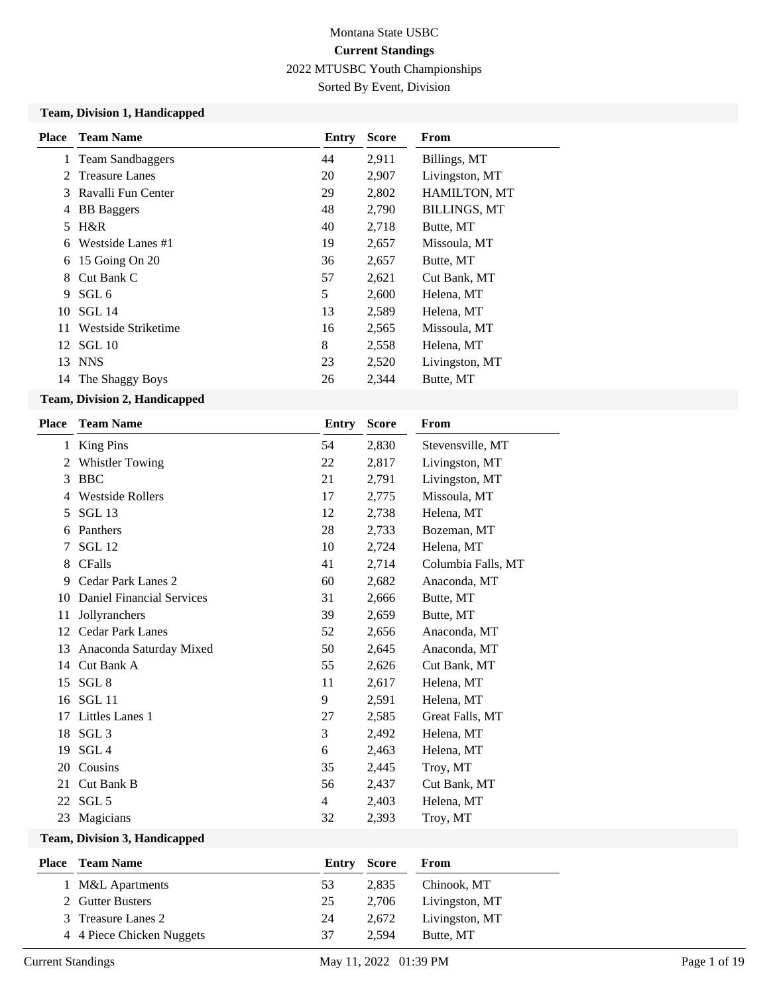Sorted By Event, Division

#### **Team, Division 1, Handicapped**

| <b>Place</b> | <b>Team Name</b>    | <b>Entry</b> | <b>Score</b> | From                |
|--------------|---------------------|--------------|--------------|---------------------|
|              | 1 Team Sandbaggers  | 44           | 2,911        | Billings, MT        |
|              | 2 Treasure Lanes    | 20           | 2,907        | Livingston, MT      |
| 3            | Ravalli Fun Center  | 29           | 2,802        | <b>HAMILTON, MT</b> |
| 4            | <b>BB</b> Baggers   | 48           | 2,790        | <b>BILLINGS, MT</b> |
| 5.           | $H\&R$              | 40           | 2,718        | Butte, MT           |
| 6            | Westside Lanes #1   | 19           | 2,657        | Missoula, MT        |
| 6            | 15 Going On 20      | 36           | 2,657        | Butte, MT           |
| 8            | Cut Bank C          | 57           | 2,621        | Cut Bank, MT        |
| 9            | SGL <sub>6</sub>    | 5            | 2,600        | Helena, MT          |
| 10           | SGL 14              | 13           | 2,589        | Helena, MT          |
| 11           | Westside Striketime | 16           | 2,565        | Missoula, MT        |
| 12           | SGL 10              | 8            | 2,558        | Helena, MT          |
| 13           | <b>NNS</b>          | 23           | 2,520        | Livingston, MT      |
| 14           | The Shaggy Boys     | 26           | 2,344        | Butte, MT           |

### **Team, Division 2, Handicapped**

| <b>Place</b> | <b>Team Name</b>                 | <b>Entry</b> | <b>Score</b> | From               |
|--------------|----------------------------------|--------------|--------------|--------------------|
| 1            | <b>King Pins</b>                 | 54           | 2,830        | Stevensville, MT   |
| 2            | <b>Whistler Towing</b>           | 22           | 2,817        | Livingston, MT     |
| 3            | <b>BBC</b>                       | 21           | 2,791        | Livingston, MT     |
| 4            | <b>Westside Rollers</b>          | 17           | 2,775        | Missoula, MT       |
| 5            | SGL 13                           | 12           | 2,738        | Helena, MT         |
| 6            | Panthers                         | 28           | 2,733        | Bozeman, MT        |
| 7            | SGL <sub>12</sub>                | 10           | 2,724        | Helena, MT         |
| 8            | <b>CFalls</b>                    | 41           | 2,714        | Columbia Falls, MT |
| 9            | Cedar Park Lanes 2               | 60           | 2,682        | Anaconda, MT       |
| 10           | <b>Daniel Financial Services</b> | 31           | 2,666        | Butte, MT          |
| 11           | Jollyranchers                    | 39           | 2,659        | Butte, MT          |
| 12           | <b>Cedar Park Lanes</b>          | 52           | 2,656        | Anaconda, MT       |
| 13           | Anaconda Saturday Mixed          | 50           | 2,645        | Anaconda, MT       |
| 14           | Cut Bank A                       | 55           | 2,626        | Cut Bank, MT       |
| 15           | SGL <sub>8</sub>                 | 11           | 2,617        | Helena, MT         |
| 16           | SGL <sub>11</sub>                | 9            | 2,591        | Helena, MT         |
| 17           | Littles Lanes 1                  | 27           | 2,585        | Great Falls, MT    |
| 18           | SGL <sub>3</sub>                 | 3            | 2,492        | Helena, MT         |
| 19           | SGL <sub>4</sub>                 | 6            | 2,463        | Helena, MT         |
| 20           | Cousins                          | 35           | 2,445        | Troy, MT           |
| 21           | Cut Bank B                       | 56           | 2,437        | Cut Bank, MT       |
|              | 22 SGL 5                         | 4            | 2,403        | Helena, MT         |
| 23           | Magicians                        | 32           | 2,393        | Troy, MT           |
|              |                                  |              |              |                    |

#### **Team, Division 3, Handicapped**

| <b>Place</b> Team Name    | <b>Entry Score</b> |       | From           |
|---------------------------|--------------------|-------|----------------|
| 1 M&L Apartments          | 53                 | 2.835 | Chinook, MT    |
| 2 Gutter Busters          | 25                 | 2.706 | Livingston, MT |
| 3 Treasure Lanes 2        | 24                 | 2.672 | Livingston, MT |
| 4 4 Piece Chicken Nuggets | 37                 | 2.594 | Butte, MT      |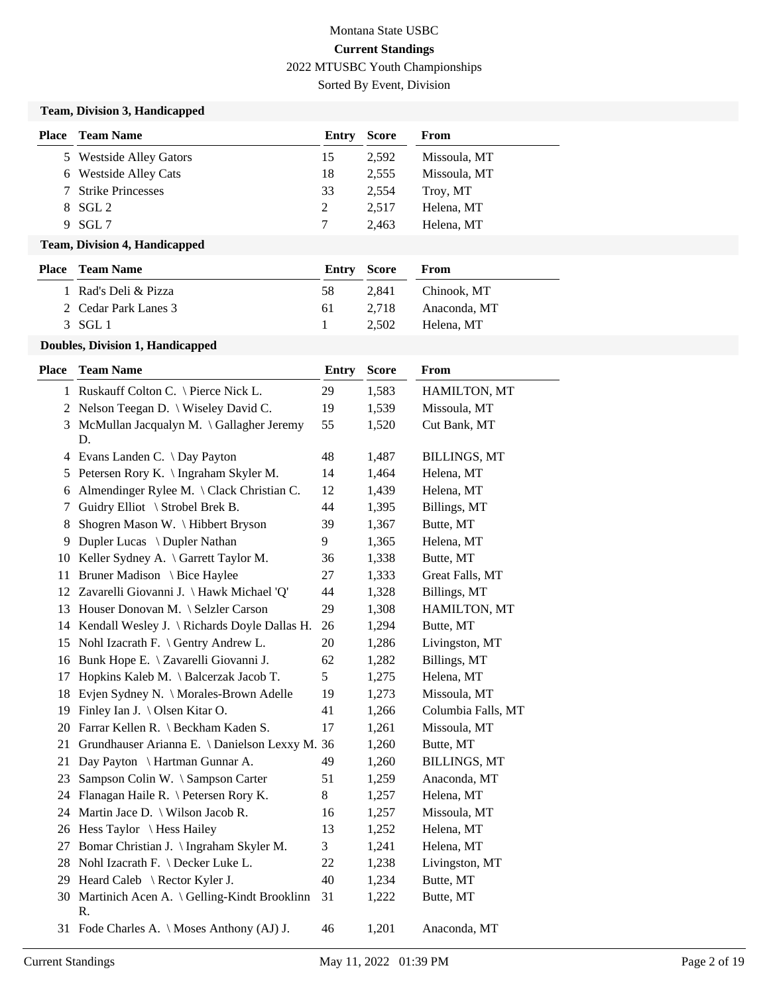Sorted By Event, Division

### **Team, Division 3, Handicapped**

| <b>Place</b> | <b>Team Name</b>        | Entry | <b>Score</b> | From         |
|--------------|-------------------------|-------|--------------|--------------|
|              | 5 Westside Alley Gators | 15    | 2.592        | Missoula, MT |
|              | 6 Westside Alley Cats   | 18    | 2.555        | Missoula, MT |
|              | 7 Strike Princesses     | 33    | 2.554        | Troy, MT     |
|              | $8$ SGL 2               | 2     | 2.517        | Helena, MT   |
| 9            | - SGL 7                 |       | 2.463        | Helena, MT   |

#### **Team, Division 4, Handicapped**

| <b>Place – Team Name</b> | Entry Score |       | <b>From</b>  |
|--------------------------|-------------|-------|--------------|
| 1 Rad's Deli & Pizza     | 58          | 2.841 | Chinook. MT  |
| 2 Cedar Park Lanes 3     | 61.         | 2.718 | Anaconda, MT |
| 3 SGL 1                  |             | 2.502 | Helena. MT   |
|                          |             |       |              |

### **Doubles, Division 1, Handicapped**

| <b>Place</b> | <b>Team Name</b>                                     | Entry | <b>Score</b> | From                |
|--------------|------------------------------------------------------|-------|--------------|---------------------|
|              | 1 Ruskauff Colton C. \ Pierce Nick L.                | 29    | 1,583        | HAMILTON, MT        |
|              | 2 Nelson Teegan D. \ Wiseley David C.                | 19    | 1,539        | Missoula, MT        |
| 3            | McMullan Jacqualyn M. \ Gallagher Jeremy<br>D.       | 55    | 1,520        | Cut Bank, MT        |
|              | 4 Evans Landen C. \ Day Payton                       | 48    | 1,487        | <b>BILLINGS, MT</b> |
|              | 5 Petersen Rory K. \ Ingraham Skyler M.              | 14    | 1,464        | Helena, MT          |
| 6            | Almendinger Rylee M. \Clack Christian C.             | 12    | 1,439        | Helena, MT          |
| 7            | Guidry Elliot \ Strobel Brek B.                      | 44    | 1,395        | Billings, MT        |
| 8            | Shogren Mason W. \ Hibbert Bryson                    | 39    | 1,367        | Butte, MT           |
|              | 9 Dupler Lucas \ Dupler Nathan                       | 9     | 1,365        | Helena, MT          |
|              | 10 Keller Sydney A. \ Garrett Taylor M.              | 36    | 1,338        | Butte, MT           |
|              | 11 Bruner Madison \ Bice Haylee                      | 27    | 1,333        | Great Falls, MT     |
|              | 12 Zavarelli Giovanni J. \Hawk Michael 'Q'           | 44    | 1,328        | Billings, MT        |
|              | 13 Houser Donovan M. \ Selzler Carson                | 29    | 1,308        | HAMILTON, MT        |
|              | 14 Kendall Wesley J. \ Richards Doyle Dallas H.      | 26    | 1,294        | Butte, MT           |
|              | 15 Nohl Izacrath F. \ Gentry Andrew L.               | 20    | 1,286        | Livingston, MT      |
|              | 16 Bunk Hope E. \ Zavarelli Giovanni J.              | 62    | 1,282        | Billings, MT        |
| 17           | Hopkins Kaleb M. \ Balcerzak Jacob T.                | 5     | 1,275        | Helena, MT          |
| 18           | Evjen Sydney N. \ Morales-Brown Adelle               | 19    | 1,273        | Missoula, MT        |
|              | 19 Finley Ian J. \ Olsen Kitar O.                    | 41    | 1,266        | Columbia Falls, MT  |
|              | 20 Farrar Kellen R. \ Beckham Kaden S.               | 17    | 1,261        | Missoula, MT        |
| 21           | Grundhauser Arianna E. \ Danielson Lexxy M. 36       |       | 1,260        | Butte, MT           |
| 21           | Day Payton \ Hartman Gunnar A.                       | 49    | 1,260        | <b>BILLINGS, MT</b> |
| 23           | Sampson Colin W. \ Sampson Carter                    | 51    | 1,259        | Anaconda, MT        |
|              | 24 Flanagan Haile R. \ Petersen Rory K.              | 8     | 1,257        | Helena, MT          |
|              | 24 Martin Jace D. \ Wilson Jacob R.                  | 16    | 1,257        | Missoula, MT        |
|              | 26 Hess Taylor \ Hess Hailey                         | 13    | 1,252        | Helena, MT          |
|              | 27 Bomar Christian J. \ Ingraham Skyler M.           | 3     | 1,241        | Helena, MT          |
|              | 28 Nohl Izacrath F. \ Decker Luke L.                 | 22    | 1,238        | Livingston, MT      |
|              | 29 Heard Caleb \ Rector Kyler J.                     | 40    | 1,234        | Butte, MT           |
|              | 30 Martinich Acen A. \ Gelling-Kindt Brooklinn<br>R. | 31    | 1,222        | Butte, MT           |
|              | 31 Fode Charles A. \ Moses Anthony (AJ) J.           | 46    | 1,201        | Anaconda, MT        |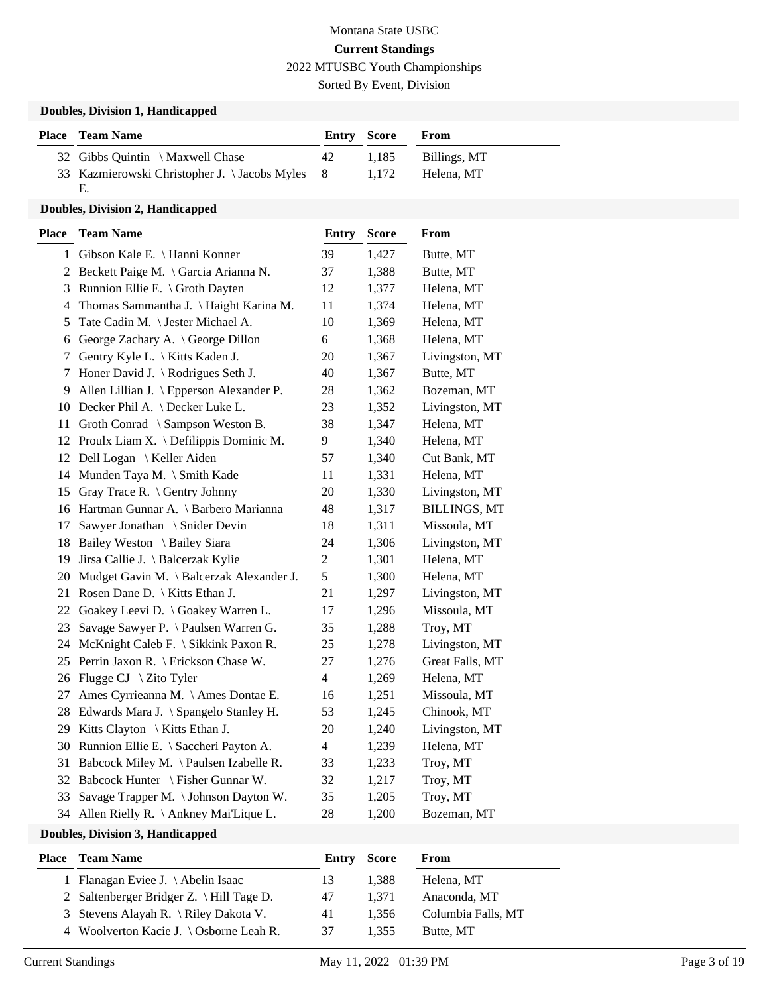### Montana State USBC **Current Standings** 2022 MTUSBC Youth Championships Sorted By Event, Division

### **Doubles, Division 1, Handicapped**

| <b>Place</b> Team Name                         |    | <b>Entry Score</b> | From         |
|------------------------------------------------|----|--------------------|--------------|
| 32 Gibbs Quintin \ Maxwell Chase               | 42 | 1.185              | Billings, MT |
| 33 Kazmierowski Christopher J. \Jacobs Myles 8 |    | 1.172              | Helena, MT   |
| Е.                                             |    |                    |              |

#### **Doubles, Division 2, Handicapped**

| Place | <b>Team Name</b>                            | <b>Entry</b>   | <b>Score</b> | From                |
|-------|---------------------------------------------|----------------|--------------|---------------------|
| 1     | Gibson Kale E. \ Hanni Konner               | 39             | 1,427        | Butte, MT           |
|       | 2 Beckett Paige M. \ Garcia Arianna N.      | 37             | 1,388        | Butte, MT           |
| 3     | Runnion Ellie E. \ Groth Dayten             | 12             | 1,377        | Helena, MT          |
| 4     | Thomas Sammantha J. \ Haight Karina M.      | 11             | 1,374        | Helena, MT          |
| 5     | Tate Cadin M. \ Jester Michael A.           | 10             | 1,369        | Helena, MT          |
| 6     | George Zachary A. \ George Dillon           | 6              | 1,368        | Helena, MT          |
| 7     | Gentry Kyle L. \ Kitts Kaden J.             | 20             | 1,367        | Livingston, MT      |
| 7     | Honer David J. \ Rodrigues Seth J.          | 40             | 1,367        | Butte, MT           |
| 9     | Allen Lillian J. \ Epperson Alexander P.    | 28             | 1,362        | Bozeman, MT         |
| 10    | Decker Phil A. \ Decker Luke L.             | 23             | 1,352        | Livingston, MT      |
| 11    | Groth Conrad \ Sampson Weston B.            | 38             | 1,347        | Helena, MT          |
| 12    | Proulx Liam X. \ Defilippis Dominic M.      | 9              | 1,340        | Helena, MT          |
| 12    | Dell Logan \ Keller Aiden                   | 57             | 1,340        | Cut Bank, MT        |
|       | 14 Munden Taya M. \ Smith Kade              | 11             | 1,331        | Helena, MT          |
| 15    | Gray Trace R. \ Gentry Johnny               | 20             | 1,330        | Livingston, MT      |
|       | 16 Hartman Gunnar A. \ Barbero Marianna     | 48             | 1,317        | <b>BILLINGS, MT</b> |
| 17    | Sawyer Jonathan \ Snider Devin              | 18             | 1,311        | Missoula, MT        |
|       | 18 Bailey Weston \ Bailey Siara             | 24             | 1,306        | Livingston, MT      |
|       | 19 Jirsa Callie J. \ Balcerzak Kylie        | $\mathfrak{2}$ | 1,301        | Helena, MT          |
|       | 20 Mudget Gavin M. \ Balcerzak Alexander J. | $\mathfrak s$  | 1,300        | Helena, MT          |
|       | 21 Rosen Dane D.   Kitts Ethan J.           | 21             | 1,297        | Livingston, MT      |
| 22    | Goakey Leevi D. \ Goakey Warren L.          | 17             | 1,296        | Missoula, MT        |
| 23    | Savage Sawyer P. \ Paulsen Warren G.        | 35             | 1,288        | Troy, MT            |
|       | 24 McKnight Caleb F. \ Sikkink Paxon R.     | 25             | 1,278        | Livingston, MT      |
|       | 25 Perrin Jaxon R. \ Erickson Chase W.      | 27             | 1,276        | Great Falls, MT     |
|       | 26 Flugge CJ \ Zito Tyler                   | $\overline{4}$ | 1,269        | Helena, MT          |
| 27    | Ames Cyrrieanna M. \Ames Dontae E.          | 16             | 1,251        | Missoula, MT        |
|       | 28 Edwards Mara J. \ Spangelo Stanley H.    | 53             | 1,245        | Chinook, MT         |
|       | 29 Kitts Clayton \ Kitts Ethan J.           | 20             | 1,240        | Livingston, MT      |
|       | 30 Runnion Ellie E. \ Saccheri Payton A.    | $\overline{4}$ | 1,239        | Helena, MT          |
| 31    | Babcock Miley M. \Paulsen Izabelle R.       | 33             | 1,233        | Troy, MT            |
| 32    | Babcock Hunter \ Fisher Gunnar W.           | 32             | 1,217        | Troy, MT            |
| 33    | Savage Trapper M. \ Johnson Dayton W.       | 35             | 1,205        | Troy, MT            |
|       | 34 Allen Rielly R. \ Ankney Mai'Lique L.    | 28             | 1,200        | Bozeman, MT         |

#### **Doubles, Division 3, Handicapped**

| Place | <b>Team Name</b>                         | Entry Score |       | From               |
|-------|------------------------------------------|-------------|-------|--------------------|
|       | Flanagan Eviee J. \Abelin Isaac          | 13          | 1.388 | Helena, MT         |
|       | 2 Saltenberger Bridger Z. \ Hill Tage D. | 47          | 1.371 | Anaconda, MT       |
|       | 3 Stevens Alayah R. \ Riley Dakota V.    | 41          | 1.356 | Columbia Falls, MT |
|       | 4 Woolverton Kacie J. \ Osborne Leah R.  | 37          | 1.355 | Butte, MT          |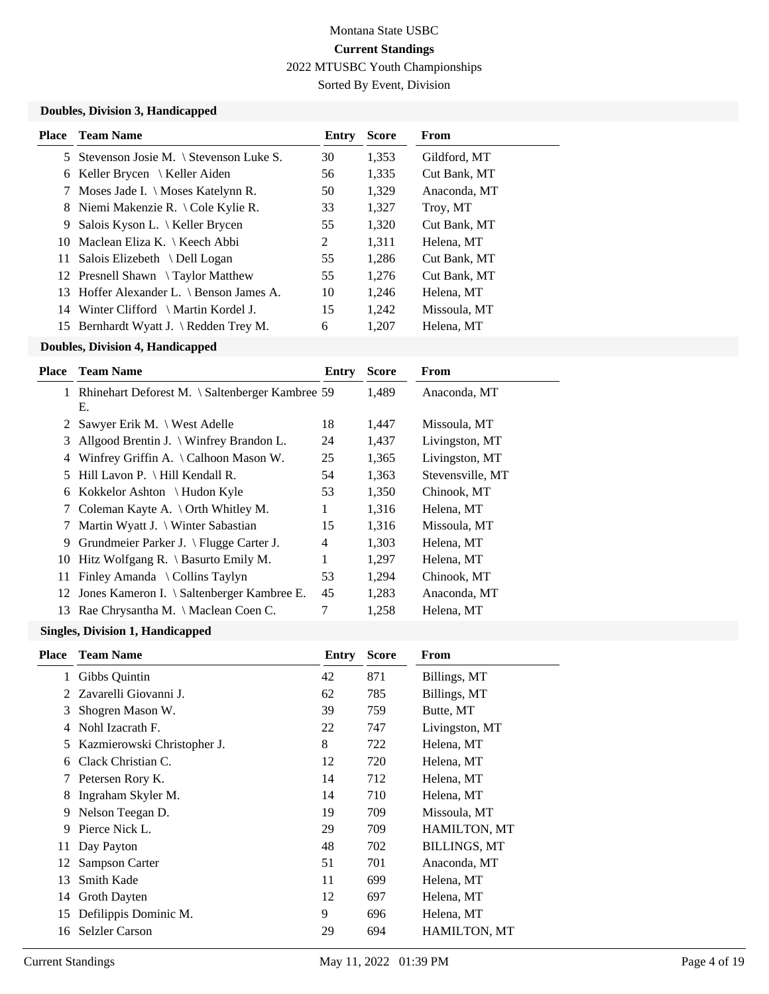Sorted By Event, Division

### **Doubles, Division 3, Handicapped**

| <b>Place</b> | <b>Team Name</b>                          | Entry | <b>Score</b> | From         |
|--------------|-------------------------------------------|-------|--------------|--------------|
|              | 5 Stevenson Josie M. \ Stevenson Luke S.  | 30    | 1.353        | Gildford, MT |
| 6.           | Keller Brycen $\setminus$ Keller Aiden    | 56    | 1,335        | Cut Bank, MT |
| 7            | Moses Jade I. \ Moses Katelynn R.         | 50    | 1,329        | Anaconda, MT |
|              | 8 Niemi Makenzie R. \ Cole Kylie R.       | 33    | 1,327        | Troy, MT     |
| 9.           | Salois Kyson L. $\setminus$ Keller Brycen | 55    | 1,320        | Cut Bank, MT |
|              | 10 Maclean Eliza K. \ Keech Abbi          | 2     | 1,311        | Helena, MT   |
|              | 11 Salois Elizebeth \ Dell Logan          | 55    | 1,286        | Cut Bank, MT |
|              | 12 Presnell Shawn \Taylor Matthew         | 55    | 1,276        | Cut Bank, MT |
|              | 13 Hoffer Alexander L. \ Benson James A.  | 10    | 1.246        | Helena, MT   |
|              | 14 Winter Clifford \ Martin Kordel J.     | 15    | 1.242        | Missoula, MT |
|              | 15 Bernhardt Wyatt J. \ Redden Trey M.    | 6     | 1,207        | Helena, MT   |
|              |                                           |       |              |              |

### **Doubles, Division 4, Handicapped**

| Place | <b>Team Name</b>                                      | Entry | <b>Score</b> | From             |
|-------|-------------------------------------------------------|-------|--------------|------------------|
|       | Rhinehart Deforest M. \ Saltenberger Kambree 59<br>Е. |       | 1,489        | Anaconda, MT     |
| 2     | Sawyer Erik M. \ West Adelle                          | 18    | 1,447        | Missoula, MT     |
| 3     | Allgood Brentin J. \ Winfrey Brandon L.               | 24    | 1,437        | Livingston, MT   |
| 4     | Winfrey Griffin A. \Calhoon Mason W.                  | 25    | 1,365        | Livingston, MT   |
| 5.    | Hill Lavon P. $\H$ Hill Kendall R.                    | 54    | 1,363        | Stevensville, MT |
| 6     | Kokkelor Ashton $\{Hudon Kyle\}$                      | 53    | 1,350        | Chinook, MT      |
| 7     | Coleman Kayte A. $\cdot$ Orth Whitley M.              | 1     | 1,316        | Helena, MT       |
|       | Martin Wyatt J. $\setminus$ Winter Sabastian          | 15    | 1,316        | Missoula, MT     |
| 9     | Grundmeier Parker J. \ Flugge Carter J.               | 4     | 1,303        | Helena, MT       |
| 10    | Hitz Wolfgang R. $\setminus$ Basurto Emily M.         | 1     | 1,297        | Helena, MT       |
| 11    | Finley Amanda $\setminus$ Collins Taylyn              | 53    | 1,294        | Chinook, MT      |
| 12    | Jones Kameron I. \ Saltenberger Kambree E.            | 45    | 1,283        | Anaconda, MT     |
| 13    | Rae Chrysantha M. \ Maclean Coen C.                   | 7     | 1,258        | Helena, MT       |
|       |                                                       |       |              |                  |

#### **Singles, Division 1, Handicapped**

| <b>Place</b>  | <b>Team Name</b>            | Entry | <b>Score</b> | From                |
|---------------|-----------------------------|-------|--------------|---------------------|
| 1             | Gibbs Quintin               | 42    | 871          | Billings, MT        |
| $\mathcal{L}$ | Zavarelli Giovanni J.       | 62    | 785          | Billings, MT        |
| 3             | Shogren Mason W.            | 39    | 759          | Butte, MT           |
| 4             | Nohl Izacrath F.            | 22    | 747          | Livingston, MT      |
| 5             | Kazmierowski Christopher J. | 8     | 722          | Helena, MT          |
| 6             | Clack Christian C.          | 12    | 720          | Helena, MT          |
| 7             | Petersen Rory K.            | 14    | 712          | Helena, MT          |
| 8             | Ingraham Skyler M.          | 14    | 710          | Helena, MT          |
| 9             | Nelson Teegan D.            | 19    | 709          | Missoula, MT        |
| 9             | Pierce Nick L.              | 29    | 709          | <b>HAMILTON, MT</b> |
| 11            | Day Payton                  | 48    | 702          | <b>BILLINGS, MT</b> |
| 12            | Sampson Carter              | 51    | 701          | Anaconda, MT        |
| 13            | <b>Smith Kade</b>           | 11    | 699          | Helena, MT          |
| 14            | Groth Dayten                | 12    | 697          | Helena, MT          |
| 15            | Defilippis Dominic M.       | 9     | 696          | Helena, MT          |
| 16            | <b>Selzler Carson</b>       | 29    | 694          | HAMILTON, MT        |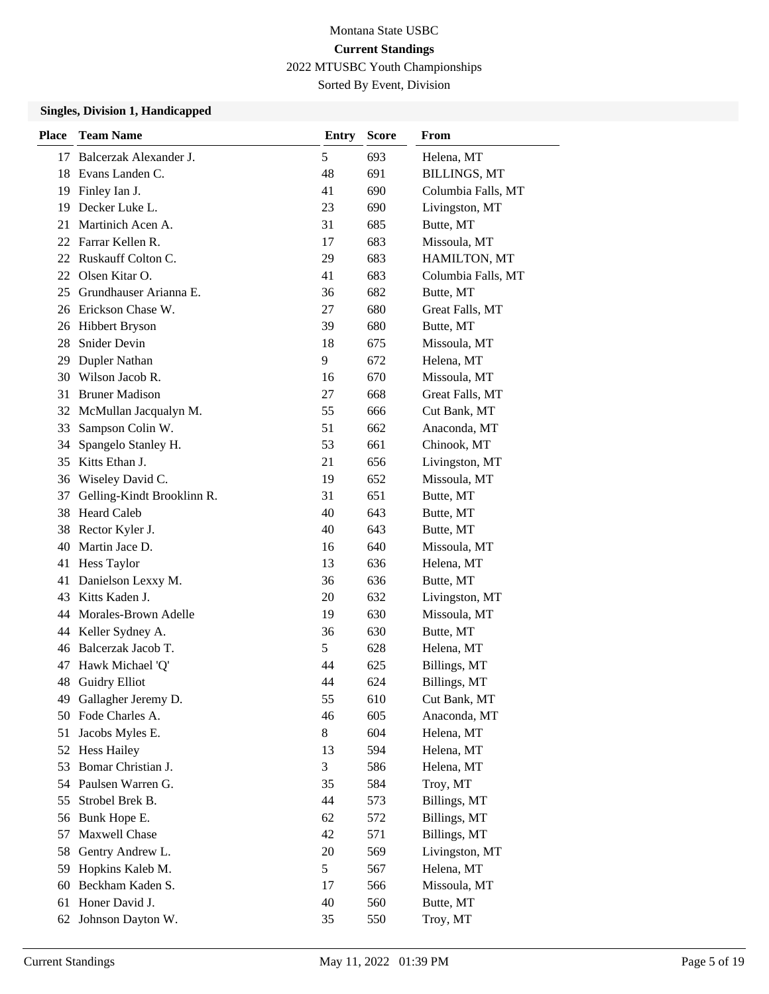Sorted By Event, Division

### **Singles, Division 1, Handicapped**

| <b>Place</b> | <b>Team Name</b>           | <b>Entry</b> | <b>Score</b> | From                |
|--------------|----------------------------|--------------|--------------|---------------------|
| 17           | Balcerzak Alexander J.     | 5            | 693          | Helena, MT          |
| 18           | Evans Landen C.            | 48           | 691          | <b>BILLINGS, MT</b> |
| 19           | Finley Ian J.              | 41           | 690          | Columbia Falls, MT  |
| 19           | Decker Luke L.             | 23           | 690          | Livingston, MT      |
| 21           | Martinich Acen A.          | 31           | 685          | Butte, MT           |
| 22           | Farrar Kellen R.           | 17           | 683          | Missoula, MT        |
|              | 22 Ruskauff Colton C.      | 29           | 683          | HAMILTON, MT        |
| 22           | Olsen Kitar O.             | 41           | 683          | Columbia Falls, MT  |
| 25           | Grundhauser Arianna E.     | 36           | 682          | Butte, MT           |
| 26           | Erickson Chase W.          | 27           | 680          | Great Falls, MT     |
| 26           | <b>Hibbert Bryson</b>      | 39           | 680          | Butte, MT           |
| 28           | Snider Devin               | 18           | 675          | Missoula, MT        |
| 29           | Dupler Nathan              | 9            | 672          | Helena, MT          |
| 30           | Wilson Jacob R.            | 16           | 670          | Missoula, MT        |
| 31           | <b>Bruner Madison</b>      | 27           | 668          | Great Falls, MT     |
| 32           | McMullan Jacqualyn M.      | 55           | 666          | Cut Bank, MT        |
| 33           | Sampson Colin W.           | 51           | 662          | Anaconda, MT        |
| 34           | Spangelo Stanley H.        | 53           | 661          | Chinook, MT         |
| 35           | Kitts Ethan J.             | 21           | 656          | Livingston, MT      |
| 36           | Wiseley David C.           | 19           | 652          | Missoula, MT        |
| 37           | Gelling-Kindt Brooklinn R. | 31           | 651          | Butte, MT           |
| 38           | <b>Heard Caleb</b>         | 40           | 643          | Butte, MT           |
| 38           | Rector Kyler J.            | 40           | 643          | Butte, MT           |
| 40           | Martin Jace D.             | 16           | 640          | Missoula, MT        |
| 41           | Hess Taylor                | 13           | 636          | Helena, MT          |
| 41           | Danielson Lexxy M.         | 36           | 636          | Butte, MT           |
| 43           | Kitts Kaden J.             | 20           | 632          | Livingston, MT      |
| 44           | Morales-Brown Adelle       | 19           | 630          | Missoula, MT        |
| 44           | Keller Sydney A.           | 36           | 630          | Butte, MT           |
| 46           | Balcerzak Jacob T.         | 5            | 628          | Helena, MT          |
| 47           | Hawk Michael 'Q'           | 44           | 625          | Billings, MT        |
| 48           | <b>Guidry Elliot</b>       | 44           | 624          | Billings, MT        |
| 49           | Gallagher Jeremy D.        | 55           | 610          | Cut Bank, MT        |
| 50           | Fode Charles A.            | 46           | 605          | Anaconda, MT        |
| 51           | Jacobs Myles E.            | $8\,$        | 604          | Helena, MT          |
| 52           | <b>Hess Hailey</b>         | 13           | 594          | Helena, MT          |
| 53           | Bomar Christian J.         | 3            | 586          | Helena, MT          |
| 54           | Paulsen Warren G.          | 35           | 584          | Troy, MT            |
| 55           | Strobel Brek B.            | 44           | 573          | Billings, MT        |
| 56           | Bunk Hope E.               | 62           | 572          | Billings, MT        |
| 57           | Maxwell Chase              | 42           | 571          | Billings, MT        |
| 58           | Gentry Andrew L.           | 20           | 569          | Livingston, MT      |
| 59           | Hopkins Kaleb M.           | 5            | 567          | Helena, MT          |
| 60           | Beckham Kaden S.           | 17           | 566          | Missoula, MT        |
| 61           | Honer David J.             | 40           | 560          | Butte, MT           |
| 62           | Johnson Dayton W.          | 35           | 550          | Troy, MT            |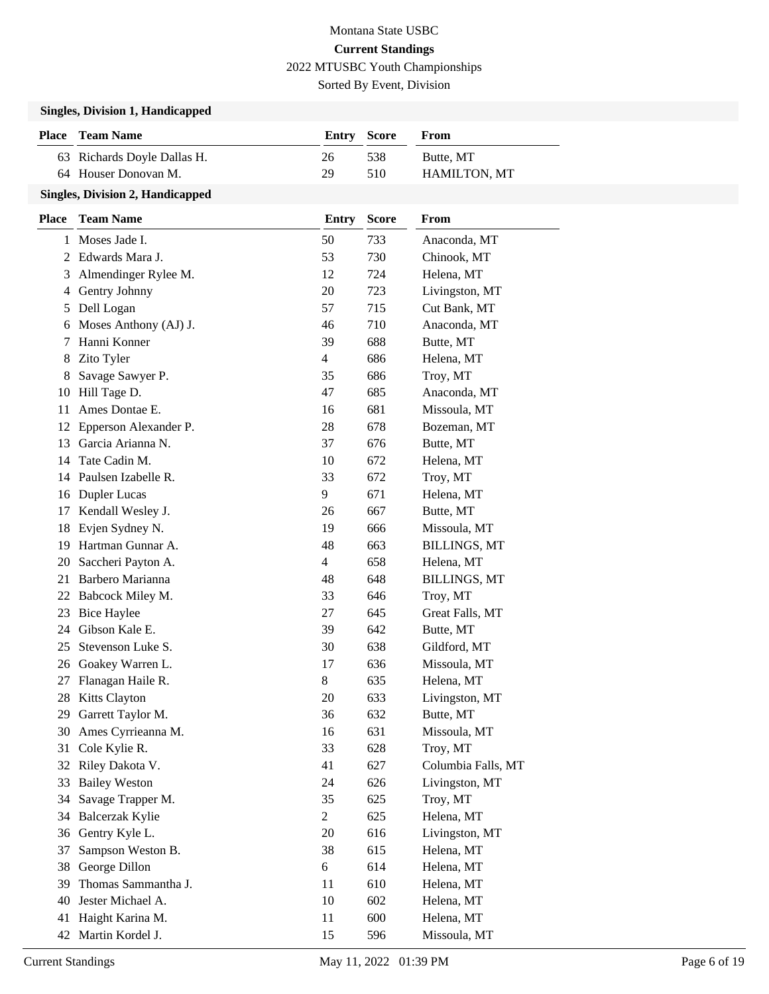Sorted By Event, Division

### **Singles, Division 1, Handicapped**

| <b>Place</b> Team Name      | Entry Score |     | From                |
|-----------------------------|-------------|-----|---------------------|
| 63 Richards Doyle Dallas H. | 26          | 538 | Butte, MT           |
| 64 Houser Donovan M.        | 29          | 510 | <b>HAMILTON, MT</b> |
|                             |             |     |                     |

### **Singles, Division 2, Handicapped**

| Place | <b>Team Name</b>      | <b>Entry</b>   | <b>Score</b> | From                |
|-------|-----------------------|----------------|--------------|---------------------|
| 1     | Moses Jade I.         | 50             | 733          | Anaconda, MT        |
| 2     | Edwards Mara J.       | 53             | 730          | Chinook, MT         |
| 3     | Almendinger Rylee M.  | 12             | 724          | Helena, MT          |
| 4     | Gentry Johnny         | 20             | 723          | Livingston, MT      |
| 5     | Dell Logan            | 57             | 715          | Cut Bank, MT        |
| 6     | Moses Anthony (AJ) J. | 46             | 710          | Anaconda, MT        |
| 7     | Hanni Konner          | 39             | 688          | Butte, MT           |
| 8     | Zito Tyler            | $\overline{4}$ | 686          | Helena, MT          |
| 8     | Savage Sawyer P.      | 35             | 686          | Troy, MT            |
| 10    | Hill Tage D.          | 47             | 685          | Anaconda, MT        |
| 11    | Ames Dontae E.        | 16             | 681          | Missoula, MT        |
| 12    | Epperson Alexander P. | 28             | 678          | Bozeman, MT         |
| 13    | Garcia Arianna N.     | 37             | 676          | Butte, MT           |
| 14    | Tate Cadin M.         | 10             | 672          | Helena, MT          |
| 14    | Paulsen Izabelle R.   | 33             | 672          | Troy, MT            |
| 16    | Dupler Lucas          | 9              | 671          | Helena, MT          |
| 17    | Kendall Wesley J.     | 26             | 667          | Butte, MT           |
| 18    | Evjen Sydney N.       | 19             | 666          | Missoula, MT        |
| 19    | Hartman Gunnar A.     | 48             | 663          | <b>BILLINGS, MT</b> |
| 20    | Saccheri Payton A.    | 4              | 658          | Helena, MT          |
| 21    | Barbero Marianna      | 48             | 648          | <b>BILLINGS, MT</b> |
| 22    | Babcock Miley M.      | 33             | 646          | Troy, MT            |
| 23    | <b>Bice Haylee</b>    | 27             | 645          | Great Falls, MT     |
| 24    | Gibson Kale E.        | 39             | 642          | Butte, MT           |
| 25    | Stevenson Luke S.     | 30             | 638          | Gildford, MT        |
|       | 26 Goakey Warren L.   | 17             | 636          | Missoula, MT        |
| 27    | Flanagan Haile R.     | 8              | 635          | Helena, MT          |
| 28    | <b>Kitts Clayton</b>  | 20             | 633          | Livingston, MT      |
| 29    | Garrett Taylor M.     | 36             | 632          | Butte, MT           |
| 30    | Ames Cyrrieanna M.    | 16             | 631          | Missoula, MT        |
| 31    | Cole Kylie R.         | 33             | 628          | Troy, MT            |
| 32    | Riley Dakota V.       | 41             | 627          | Columbia Falls, MT  |
| 33    | <b>Bailey Weston</b>  | 24             | 626          | Livingston, MT      |
| 34    | Savage Trapper M.     | 35             | 625          | Troy, MT            |
| 34    | Balcerzak Kylie       | $\overline{2}$ | 625          | Helena, MT          |
| 36    | Gentry Kyle L.        | 20             | 616          | Livingston, MT      |
| 37    | Sampson Weston B.     | 38             | 615          | Helena, MT          |
| 38    | George Dillon         | 6              | 614          | Helena, MT          |
| 39    | Thomas Sammantha J.   | 11             | 610          | Helena, MT          |
| 40    | Jester Michael A.     | 10             | 602          | Helena, MT          |
| 41    | Haight Karina M.      | 11             | 600          | Helena, MT          |
| 42    | Martin Kordel J.      | 15             | 596          | Missoula, MT        |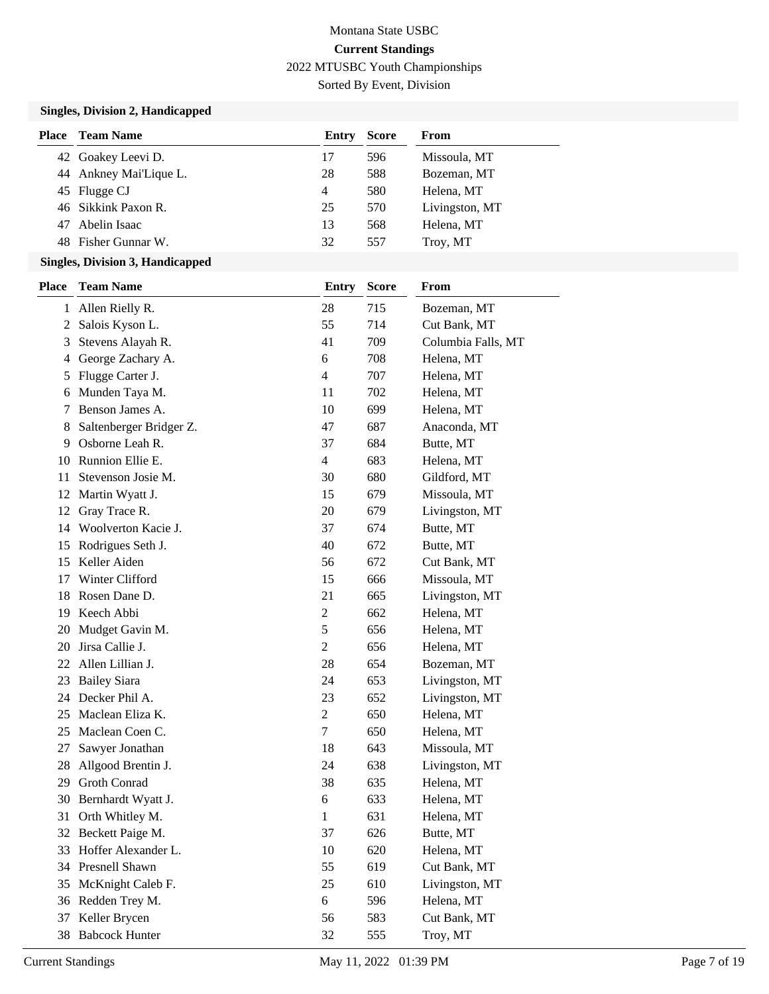Sorted By Event, Division

### **Singles, Division 2, Handicapped**

| Place | <b>Team Name</b>       | Entry | <b>Score</b> | From           |
|-------|------------------------|-------|--------------|----------------|
|       | 42 Goakey Leevi D.     | 17    | 596          | Missoula, MT   |
|       | 44 Ankney Mai'Lique L. | 28    | 588          | Bozeman, MT    |
|       | 45 Flugge CJ           | 4     | 580          | Helena, MT     |
|       | 46 Sikkink Paxon R.    | 25    | 570          | Livingston, MT |
| 47    | Abelin Isaac           | 13    | 568          | Helena, MT     |
|       | 48 Fisher Gunnar W.    | 32    | 557          | Troy, MT       |

#### **Singles, Division 3, Handicapped**

| <b>Place</b> | <b>Team Name</b>        | <b>Entry</b>   | <b>Score</b> | From               |
|--------------|-------------------------|----------------|--------------|--------------------|
| 1            | Allen Rielly R.         | 28             | 715          | Bozeman, MT        |
| 2            | Salois Kyson L.         | 55             | 714          | Cut Bank, MT       |
| 3            | Stevens Alayah R.       | 41             | 709          | Columbia Falls, MT |
| 4            | George Zachary A.       | 6              | 708          | Helena, MT         |
| 5            | Flugge Carter J.        | 4              | 707          | Helena, MT         |
| 6            | Munden Taya M.          | 11             | 702          | Helena, MT         |
| 7            | Benson James A.         | 10             | 699          | Helena, MT         |
| 8            | Saltenberger Bridger Z. | 47             | 687          | Anaconda, MT       |
| 9            | Osborne Leah R.         | 37             | 684          | Butte, MT          |
| 10           | Runnion Ellie E.        | $\overline{4}$ | 683          | Helena, MT         |
| 11           | Stevenson Josie M.      | 30             | 680          | Gildford, MT       |
| 12           | Martin Wyatt J.         | 15             | 679          | Missoula, MT       |
| 12           | Gray Trace R.           | 20             | 679          | Livingston, MT     |
| 14           | Woolverton Kacie J.     | 37             | 674          | Butte, MT          |
| 15           | Rodrigues Seth J.       | 40             | 672          | Butte, MT          |
| 15           | Keller Aiden            | 56             | 672          | Cut Bank, MT       |
| 17           | Winter Clifford         | 15             | 666          | Missoula, MT       |
| 18           | Rosen Dane D.           | 21             | 665          | Livingston, MT     |
| 19           | Keech Abbi              | $\mathfrak{2}$ | 662          | Helena, MT         |
| 20           | Mudget Gavin M.         | 5              | 656          | Helena, MT         |
| 20           | Jirsa Callie J.         | $\overline{c}$ | 656          | Helena, MT         |
| 22           | Allen Lillian J.        | 28             | 654          | Bozeman, MT        |
| 23           | <b>Bailey Siara</b>     | 24             | 653          | Livingston, MT     |
| 24           | Decker Phil A.          | 23             | 652          | Livingston, MT     |
| 25           | Maclean Eliza K.        | $\overline{c}$ | 650          | Helena, MT         |
| 25           | Maclean Coen C.         | 7              | 650          | Helena, MT         |
| 27           | Sawyer Jonathan         | 18             | 643          | Missoula, MT       |
| 28           | Allgood Brentin J.      | 24             | 638          | Livingston, MT     |
| 29           | Groth Conrad            | 38             | 635          | Helena, MT         |
| 30           | Bernhardt Wyatt J.      | 6              | 633          | Helena, MT         |
| 31           | Orth Whitley M.         | $\mathbf{1}$   | 631          | Helena, MT         |
| 32           | Beckett Paige M.        | 37             | 626          | Butte, MT          |
|              | 33 Hoffer Alexander L.  | 10             | 620          | Helena, MT         |
|              | 34 Presnell Shawn       | 55             | 619          | Cut Bank, MT       |
| 35           | McKnight Caleb F.       | 25             | 610          | Livingston, MT     |
| 36           | Redden Trey M.          | 6              | 596          | Helena, MT         |
| 37           | Keller Brycen           | 56             | 583          | Cut Bank, MT       |
| 38           | <b>Babcock Hunter</b>   | 32             | 555          | Troy, MT           |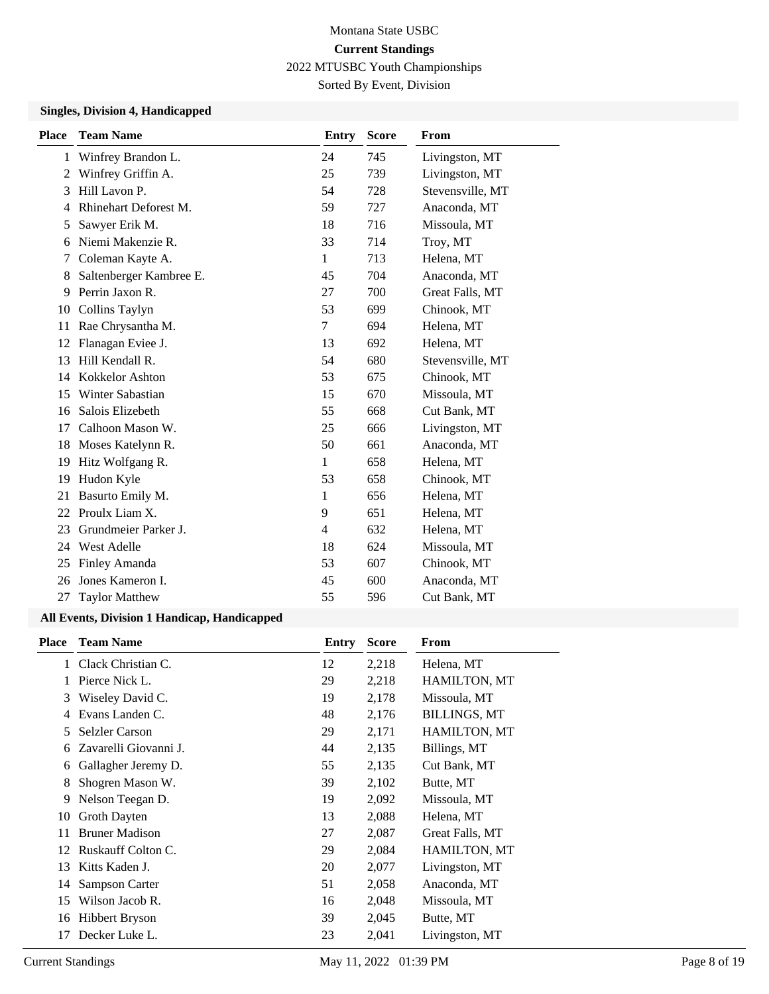Sorted By Event, Division

### **Singles, Division 4, Handicapped**

| <b>Place</b> | <b>Team Name</b>        | <b>Entry</b>   | <b>Score</b> | From             |
|--------------|-------------------------|----------------|--------------|------------------|
| 1            | Winfrey Brandon L.      | 24             | 745          | Livingston, MT   |
| 2            | Winfrey Griffin A.      | 25             | 739          | Livingston, MT   |
| 3            | Hill Lavon P.           | 54             | 728          | Stevensville, MT |
| 4            | Rhinehart Deforest M.   | 59             | 727          | Anaconda, MT     |
| 5            | Sawyer Erik M.          | 18             | 716          | Missoula, MT     |
| 6            | Niemi Makenzie R.       | 33             | 714          | Troy, MT         |
| 7            | Coleman Kayte A.        | 1              | 713          | Helena, MT       |
| 8            | Saltenberger Kambree E. | 45             | 704          | Anaconda, MT     |
| 9            | Perrin Jaxon R.         | 27             | 700          | Great Falls, MT  |
| 10           | Collins Taylyn          | 53             | 699          | Chinook, MT      |
| 11           | Rae Chrysantha M.       | 7              | 694          | Helena, MT       |
| 12           | Flanagan Eviee J.       | 13             | 692          | Helena, MT       |
| 13           | Hill Kendall R.         | 54             | 680          | Stevensville, MT |
| 14           | Kokkelor Ashton         | 53             | 675          | Chinook, MT      |
| 15           | Winter Sabastian        | 15             | 670          | Missoula, MT     |
| 16           | Salois Elizebeth        | 55             | 668          | Cut Bank, MT     |
| 17           | Calhoon Mason W.        | 25             | 666          | Livingston, MT   |
| 18           | Moses Katelynn R.       | 50             | 661          | Anaconda, MT     |
| 19           | Hitz Wolfgang R.        | 1              | 658          | Helena, MT       |
| 19           | Hudon Kyle              | 53             | 658          | Chinook, MT      |
| 21           | Basurto Emily M.        | 1              | 656          | Helena, MT       |
| 22           | Proulx Liam X.          | 9              | 651          | Helena, MT       |
| 23           | Grundmeier Parker J.    | $\overline{4}$ | 632          | Helena, MT       |
| 24           | <b>West Adelle</b>      | 18             | 624          | Missoula, MT     |
| 25           | Finley Amanda           | 53             | 607          | Chinook, MT      |
| 26           | Jones Kameron I.        | 45             | 600          | Anaconda, MT     |
| 27           | <b>Taylor Matthew</b>   | 55             | 596          | Cut Bank, MT     |

### **All Events, Division 1 Handicap, Handicapped**

| <b>Place</b> | <b>Team Name</b>      | Entry | <b>Score</b> | From                |
|--------------|-----------------------|-------|--------------|---------------------|
| 1            | Clack Christian C.    | 12    | 2,218        | Helena, MT          |
|              | Pierce Nick L.        | 29    | 2,218        | <b>HAMILTON, MT</b> |
| 3            | Wiseley David C.      | 19    | 2,178        | Missoula, MT        |
| 4            | Evans Landen C.       | 48    | 2,176        | <b>BILLINGS, MT</b> |
| 5            | <b>Selzler Carson</b> | 29    | 2,171        | HAMILTON, MT        |
| 6            | Zavarelli Giovanni J. | 44    | 2,135        | Billings, MT        |
| 6            | Gallagher Jeremy D.   | 55    | 2,135        | Cut Bank, MT        |
| 8            | Shogren Mason W.      | 39    | 2,102        | Butte, MT           |
| 9            | Nelson Teegan D.      | 19    | 2,092        | Missoula, MT        |
| 10           | Groth Dayten          | 13    | 2,088        | Helena, MT          |
| 11           | <b>Bruner Madison</b> | 27    | 2,087        | Great Falls, MT     |
| 12           | Ruskauff Colton C.    | 29    | 2,084        | <b>HAMILTON, MT</b> |
| 13           | Kitts Kaden J.        | 20    | 2,077        | Livingston, MT      |
| 14           | Sampson Carter        | 51    | 2,058        | Anaconda, MT        |
| 15           | Wilson Jacob R.       | 16    | 2,048        | Missoula, MT        |
| 16           | <b>Hibbert Bryson</b> | 39    | 2,045        | Butte, MT           |
| 17           | Decker Luke L.        | 23    | 2,041        | Livingston, MT      |
|              |                       |       |              |                     |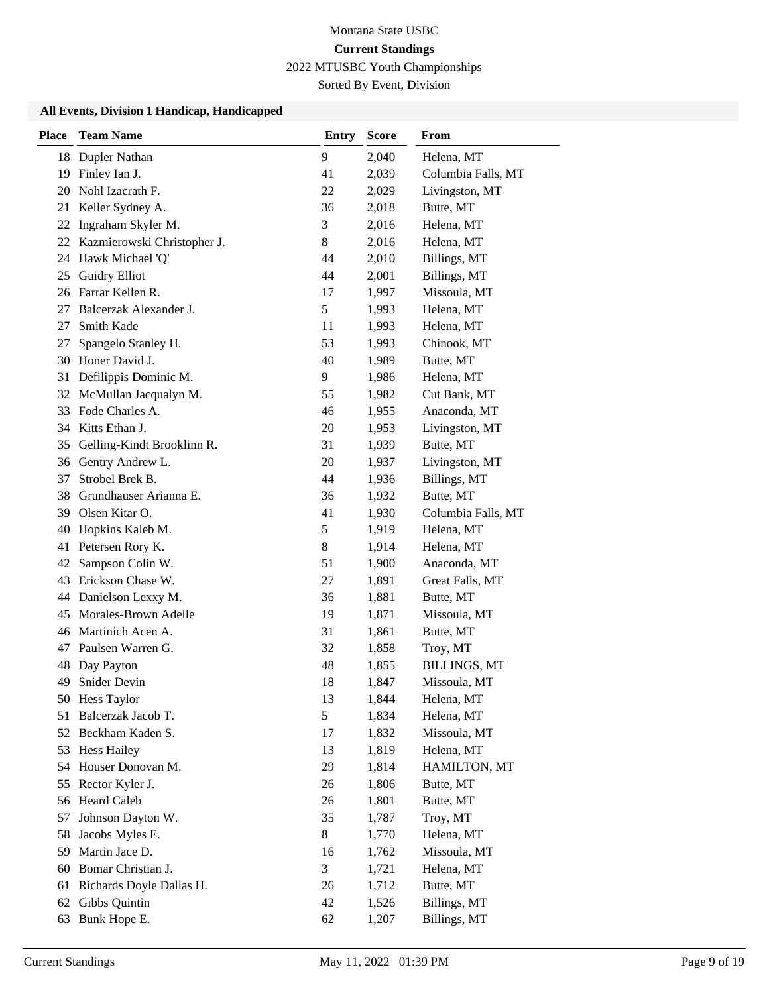Sorted By Event, Division

### **All Events, Division 1 Handicap, Handicapped**

| <b>Place</b> | <b>Team Name</b>            | <b>Entry</b> | <b>Score</b> | From                |
|--------------|-----------------------------|--------------|--------------|---------------------|
| 18           | Dupler Nathan               | 9            | 2,040        | Helena, MT          |
| 19           | Finley Ian J.               | 41           | 2,039        | Columbia Falls, MT  |
| 20           | Nohl Izacrath F.            | 22           | 2,029        | Livingston, MT      |
| 21           | Keller Sydney A.            | 36           | 2,018        | Butte, MT           |
| 22           | Ingraham Skyler M.          | 3            | 2,016        | Helena, MT          |
| 22           | Kazmierowski Christopher J. | 8            | 2,016        | Helena, MT          |
| 24           | Hawk Michael 'Q'            | 44           | 2,010        | Billings, MT        |
| 25           | <b>Guidry Elliot</b>        | 44           | 2,001        | Billings, MT        |
| 26           | Farrar Kellen R.            | 17           | 1,997        | Missoula, MT        |
| 27           | Balcerzak Alexander J.      | 5            | 1,993        | Helena, MT          |
| 27           | Smith Kade                  | 11           | 1,993        | Helena, MT          |
| 27           | Spangelo Stanley H.         | 53           | 1,993        | Chinook, MT         |
| 30           | Honer David J.              | 40           | 1,989        | Butte, MT           |
| 31           | Defilippis Dominic M.       | 9            | 1,986        | Helena, MT          |
|              | 32 McMullan Jacqualyn M.    | 55           | 1,982        | Cut Bank, MT        |
| 33           | Fode Charles A.             | 46           | 1,955        | Anaconda, MT        |
| 34           | Kitts Ethan J.              | 20           | 1,953        | Livingston, MT      |
| 35           | Gelling-Kindt Brooklinn R.  | 31           | 1,939        | Butte, MT           |
| 36           | Gentry Andrew L.            | 20           | 1,937        | Livingston, MT      |
| 37           | Strobel Brek B.             | 44           | 1,936        | Billings, MT        |
| 38           | Grundhauser Arianna E.      | 36           | 1,932        | Butte, MT           |
| 39           | Olsen Kitar O.              | 41           | 1,930        | Columbia Falls, MT  |
| 40           | Hopkins Kaleb M.            | 5            | 1,919        | Helena, MT          |
| 41           | Petersen Rory K.            | $8\,$        | 1,914        | Helena, MT          |
| 42           | Sampson Colin W.            | 51           | 1,900        | Anaconda, MT        |
| 43           | Erickson Chase W.           | 27           | 1,891        | Great Falls, MT     |
| 44           | Danielson Lexxy M.          | 36           | 1,881        | Butte, MT           |
| 45           | Morales-Brown Adelle        | 19           | 1,871        | Missoula, MT        |
| 46           | Martinich Acen A.           | 31           | 1,861        | Butte, MT           |
| 47           | Paulsen Warren G.           | 32           | 1,858        | Troy, MT            |
| 48           | Day Payton                  | 48           | 1,855        | <b>BILLINGS, MT</b> |
| 49           | Snider Devin                | 18           | 1,847        | Missoula, MT        |
|              | 50 Hess Taylor              | 13           | 1,844        | Helena, MT          |
| 51           | Balcerzak Jacob T.          | 5            | 1,834        | Helena, MT          |
|              | 52 Beckham Kaden S.         | 17           | 1,832        | Missoula, MT        |
| 53           | <b>Hess Hailey</b>          | 13           | 1,819        | Helena, MT          |
| 54           | Houser Donovan M.           | 29           | 1,814        | HAMILTON, MT        |
| 55           | Rector Kyler J.             | 26           | 1,806        | Butte, MT           |
|              | 56 Heard Caleb              | 26           | 1,801        | Butte, MT           |
| 57           | Johnson Dayton W.           | 35           | 1,787        | Troy, MT            |
| 58           | Jacobs Myles E.             | 8            | 1,770        | Helena, MT          |
| 59           | Martin Jace D.              | 16           | 1,762        | Missoula, MT        |
| 60           | Bomar Christian J.          | 3            | 1,721        | Helena, MT          |
| 61           | Richards Doyle Dallas H.    | 26           | 1,712        | Butte, MT           |
| 62           | Gibbs Quintin               | 42           | 1,526        | Billings, MT        |
| 63           | Bunk Hope E.                | 62           | 1,207        | Billings, MT        |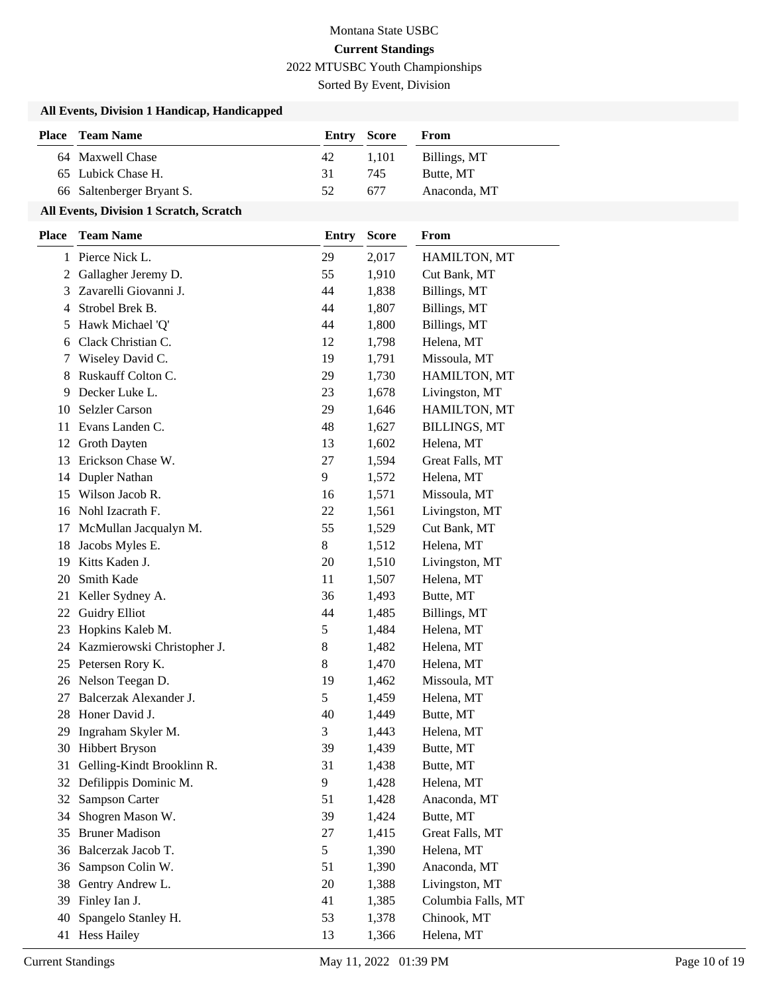Sorted By Event, Division

### **All Events, Division 1 Handicap, Handicapped**

| <b>Place</b> Team Name    | <b>Entry Score</b> |       | From         |
|---------------------------|--------------------|-------|--------------|
| 64 Maxwell Chase          | 42                 | 1.101 | Billings, MT |
| 65 Lubick Chase H.        | 31                 | 745   | Butte, MT    |
| 66 Saltenberger Bryant S. | 52                 | 677   | Anaconda, MT |

#### **All Events, Division 1 Scratch, Scratch**

| Place | <b>Team Name</b>            | <b>Entry</b> | <b>Score</b> | From                |
|-------|-----------------------------|--------------|--------------|---------------------|
|       | 1 Pierce Nick L.            | 29           | 2,017        | HAMILTON, MT        |
| 2     | Gallagher Jeremy D.         | 55           | 1,910        | Cut Bank, MT        |
| 3     | Zavarelli Giovanni J.       | 44           | 1,838        | Billings, MT        |
| 4     | Strobel Brek B.             | 44           | 1,807        | Billings, MT        |
| 5     | Hawk Michael 'Q'            | 44           | 1,800        | Billings, MT        |
| 6     | Clack Christian C.          | 12           | 1,798        | Helena, MT          |
| 7     | Wiseley David C.            | 19           | 1,791        | Missoula, MT        |
| 8     | Ruskauff Colton C.          | 29           | 1,730        | HAMILTON, MT        |
| 9     | Decker Luke L.              | 23           | 1,678        | Livingston, MT      |
| 10    | <b>Selzler Carson</b>       | 29           | 1,646        | HAMILTON, MT        |
| 11    | Evans Landen C.             | 48           | 1,627        | <b>BILLINGS, MT</b> |
| 12    | Groth Dayten                | 13           | 1,602        | Helena, MT          |
| 13    | Erickson Chase W.           | 27           | 1,594        | Great Falls, MT     |
| 14    | Dupler Nathan               | 9            | 1,572        | Helena, MT          |
| 15    | Wilson Jacob R.             | 16           | 1,571        | Missoula, MT        |
| 16    | Nohl Izacrath F.            | 22           | 1,561        | Livingston, MT      |
| 17    | McMullan Jacqualyn M.       | 55           | 1,529        | Cut Bank, MT        |
| 18    | Jacobs Myles E.             | 8            | 1,512        | Helena, MT          |
| 19    | Kitts Kaden J.              | 20           | 1,510        | Livingston, MT      |
| 20    | Smith Kade                  | 11           | 1,507        | Helena, MT          |
| 21    | Keller Sydney A.            | 36           | 1,493        | Butte, MT           |
| 22    | <b>Guidry Elliot</b>        | 44           | 1,485        | Billings, MT        |
| 23    | Hopkins Kaleb M.            | 5            | 1,484        | Helena, MT          |
| 24    | Kazmierowski Christopher J. | 8            | 1,482        | Helena, MT          |
|       | 25 Petersen Rory K.         | 8            | 1,470        | Helena, MT          |
| 26    | Nelson Teegan D.            | 19           | 1,462        | Missoula, MT        |
| 27    | Balcerzak Alexander J.      | 5            | 1,459        | Helena, MT          |
| 28    | Honer David J.              | 40           | 1,449        | Butte, MT           |
| 29    | Ingraham Skyler M.          | 3            | 1,443        | Helena, MT          |
| 30    | <b>Hibbert Bryson</b>       | 39           | 1,439        | Butte, MT           |
| 31    | Gelling-Kindt Brooklinn R.  | 31           | 1,438        | Butte, MT           |
|       | 32 Defilippis Dominic M.    | 9            | 1,428        | Helena, MT          |
| 32    | <b>Sampson Carter</b>       | 51           | 1,428        | Anaconda, MT        |
| 34    | Shogren Mason W.            | 39           | 1,424        | Butte, MT           |
| 35    | <b>Bruner Madison</b>       | 27           | 1,415        | Great Falls, MT     |
| 36    | Balcerzak Jacob T.          | 5            | 1,390        | Helena, MT          |
| 36    | Sampson Colin W.            | 51           | 1,390        | Anaconda, MT        |
| 38    | Gentry Andrew L.            | 20           | 1,388        | Livingston, MT      |
| 39    | Finley Ian J.               | 41           | 1,385        | Columbia Falls, MT  |
| 40    | Spangelo Stanley H.         | 53           | 1,378        | Chinook, MT         |
| 41    | <b>Hess Hailey</b>          | 13           | 1,366        | Helena, MT          |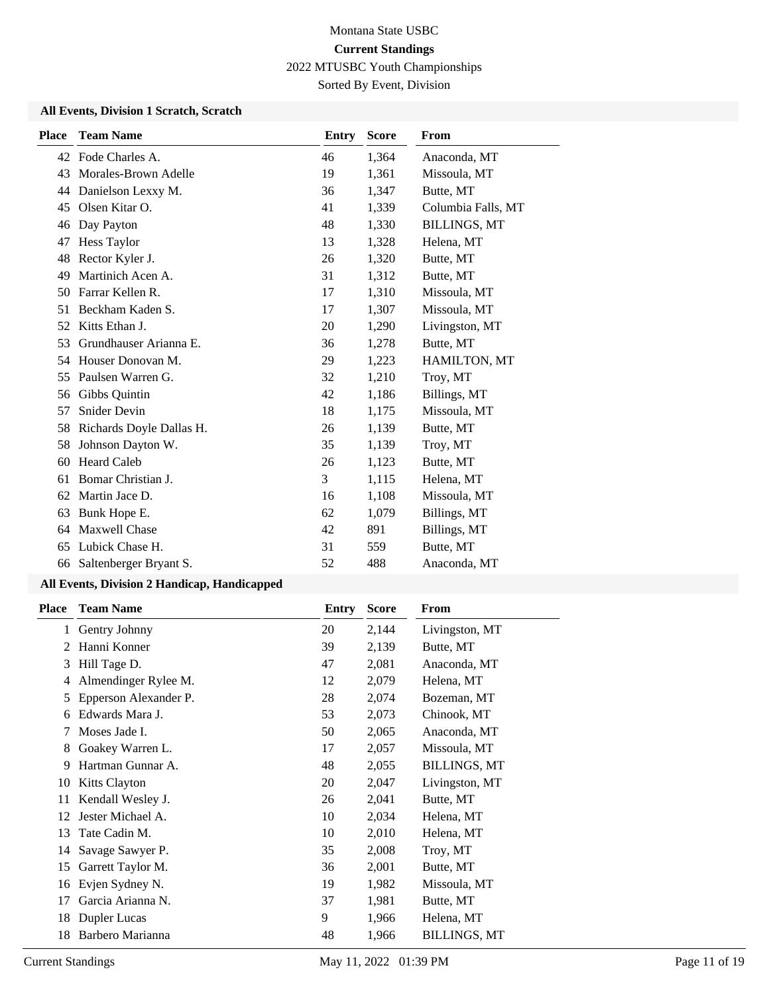Sorted By Event, Division

### **All Events, Division 1 Scratch, Scratch**

| <b>Place</b> | <b>Team Name</b>         | Entry | <b>Score</b> | <b>From</b>         |
|--------------|--------------------------|-------|--------------|---------------------|
|              | 42 Fode Charles A.       | 46    | 1,364        | Anaconda, MT        |
| 43           | Morales-Brown Adelle     | 19    | 1,361        | Missoula, MT        |
| 44           | Danielson Lexxy M.       | 36    | 1,347        | Butte, MT           |
| 45           | Olsen Kitar O.           | 41    | 1,339        | Columbia Falls, MT  |
| 46           | Day Payton               | 48    | 1,330        | <b>BILLINGS, MT</b> |
| 47           | Hess Taylor              | 13    | 1,328        | Helena, MT          |
| 48           | Rector Kyler J.          | 26    | 1,320        | Butte, MT           |
| 49           | Martinich Acen A.        | 31    | 1,312        | Butte, MT           |
| 50           | Farrar Kellen R.         | 17    | 1,310        | Missoula, MT        |
| 51           | Beckham Kaden S.         | 17    | 1,307        | Missoula, MT        |
| 52           | Kitts Ethan J.           | 20    | 1,290        | Livingston, MT      |
| 53           | Grundhauser Arianna E.   | 36    | 1,278        | Butte, MT           |
| 54           | Houser Donovan M.        | 29    | 1,223        | <b>HAMILTON, MT</b> |
| 55           | Paulsen Warren G.        | 32    | 1,210        | Troy, MT            |
| 56           | Gibbs Quintin            | 42    | 1,186        | Billings, MT        |
| 57           | <b>Snider Devin</b>      | 18    | 1,175        | Missoula, MT        |
| 58           | Richards Doyle Dallas H. | 26    | 1,139        | Butte, MT           |
| 58           | Johnson Dayton W.        | 35    | 1,139        | Troy, MT            |
| 60           | <b>Heard Caleb</b>       | 26    | 1,123        | Butte, MT           |
| 61           | Bomar Christian J.       | 3     | 1,115        | Helena, MT          |
| 62           | Martin Jace D.           | 16    | 1,108        | Missoula, MT        |
| 63           | Bunk Hope E.             | 62    | 1,079        | Billings, MT        |
| 64           | <b>Maxwell Chase</b>     | 42    | 891          | Billings, MT        |
| 65           | Lubick Chase H.          | 31    | 559          | Butte, MT           |
| 66           | Saltenberger Bryant S.   | 52    | 488          | Anaconda, MT        |
|              |                          |       |              |                     |

## **All Events, Division 2 Handicap, Handicapped**

| <b>Place</b> | <b>Team Name</b>      | Entry | <b>Score</b> | From                |
|--------------|-----------------------|-------|--------------|---------------------|
| 1            | Gentry Johnny         | 20    | 2,144        | Livingston, MT      |
| 2            | Hanni Konner          | 39    | 2,139        | Butte, MT           |
| 3            | Hill Tage D.          | 47    | 2,081        | Anaconda, MT        |
| 4            | Almendinger Rylee M.  | 12    | 2,079        | Helena, MT          |
| 5            | Epperson Alexander P. | 28    | 2,074        | Bozeman, MT         |
| 6            | Edwards Mara J.       | 53    | 2,073        | Chinook, MT         |
| 7            | Moses Jade I.         | 50    | 2,065        | Anaconda, MT        |
| 8            | Goakey Warren L.      | 17    | 2,057        | Missoula, MT        |
| 9            | Hartman Gunnar A.     | 48    | 2,055        | <b>BILLINGS, MT</b> |
| 10           | <b>Kitts Clayton</b>  | 20    | 2,047        | Livingston, MT      |
| 11           | Kendall Wesley J.     | 26    | 2,041        | Butte, MT           |
| 12           | Jester Michael A.     | 10    | 2,034        | Helena, MT          |
| 13           | Tate Cadin M.         | 10    | 2,010        | Helena, MT          |
| 14           | Savage Sawyer P.      | 35    | 2,008        | Troy, MT            |
| 15           | Garrett Taylor M.     | 36    | 2,001        | Butte, MT           |
| 16           | Evjen Sydney N.       | 19    | 1,982        | Missoula, MT        |
| 17           | Garcia Arianna N.     | 37    | 1,981        | Butte, MT           |
| 18           | Dupler Lucas          | 9     | 1,966        | Helena, MT          |
| 18           | Barbero Marianna      | 48    | 1,966        | <b>BILLINGS, MT</b> |
|              |                       |       |              |                     |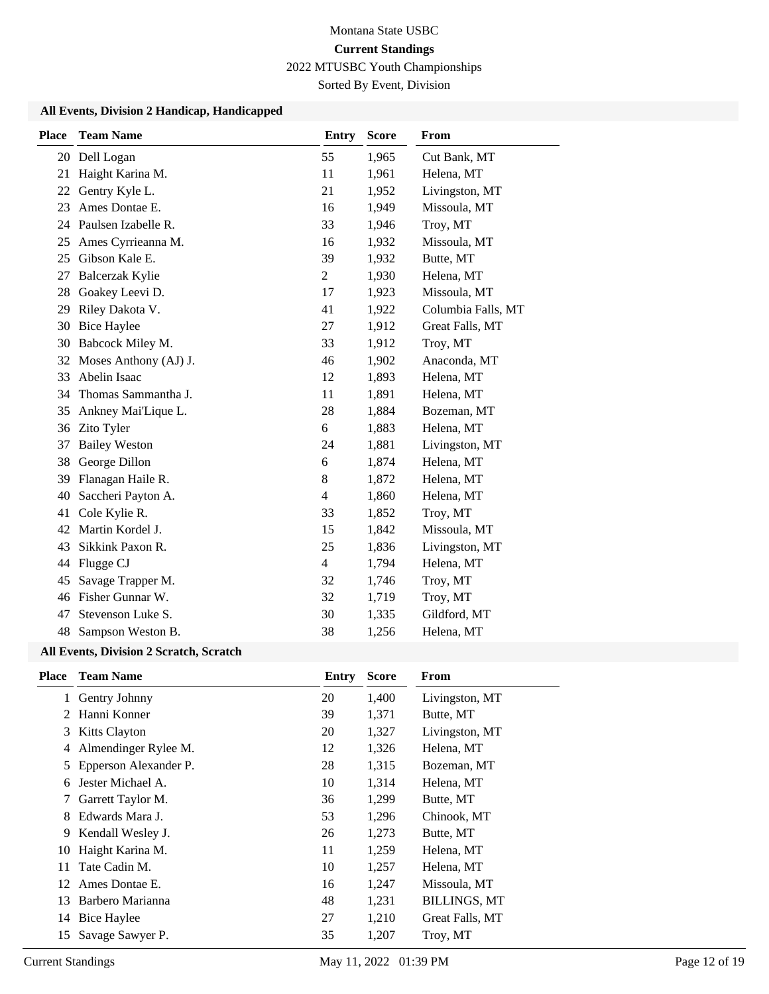# Montana State USBC **Current Standings**

2022 MTUSBC Youth Championships

Sorted By Event, Division

### **All Events, Division 2 Handicap, Handicapped**

| <b>Place</b> | <b>Team Name</b>       | <b>Entry</b>   | <b>Score</b> | From               |
|--------------|------------------------|----------------|--------------|--------------------|
|              | 20 Dell Logan          | 55             | 1,965        | Cut Bank, MT       |
| 21           | Haight Karina M.       | 11             | 1,961        | Helena, MT         |
| 22           | Gentry Kyle L.         | 21             | 1,952        | Livingston, MT     |
| 23           | Ames Dontae E.         | 16             | 1,949        | Missoula, MT       |
| 24           | Paulsen Izabelle R.    | 33             | 1,946        | Troy, MT           |
| 25           | Ames Cyrrieanna M.     | 16             | 1,932        | Missoula, MT       |
| 25           | Gibson Kale E.         | 39             | 1,932        | Butte, MT          |
| 27           | <b>Balcerzak Kylie</b> | $\overline{2}$ | 1,930        | Helena, MT         |
| 28           | Goakey Leevi D.        | 17             | 1,923        | Missoula, MT       |
| 29           | Riley Dakota V.        | 41             | 1,922        | Columbia Falls, MT |
| 30           | <b>Bice Haylee</b>     | 27             | 1,912        | Great Falls, MT    |
| 30           | Babcock Miley M.       | 33             | 1,912        | Troy, MT           |
| 32           | Moses Anthony (AJ) J.  | 46             | 1,902        | Anaconda, MT       |
| 33           | Abelin Isaac           | 12             | 1,893        | Helena, MT         |
| 34           | Thomas Sammantha J.    | 11             | 1,891        | Helena, MT         |
| 35           | Ankney Mai'Lique L.    | 28             | 1,884        | Bozeman, MT        |
| 36           | Zito Tyler             | 6              | 1,883        | Helena, MT         |
| 37           | <b>Bailey Weston</b>   | 24             | 1,881        | Livingston, MT     |
| 38           | George Dillon          | 6              | 1,874        | Helena, MT         |
| 39           | Flanagan Haile R.      | 8              | 1,872        | Helena, MT         |
| 40           | Saccheri Payton A.     | 4              | 1,860        | Helena, MT         |
| 41           | Cole Kylie R.          | 33             | 1,852        | Troy, MT           |
| 42           | Martin Kordel J.       | 15             | 1,842        | Missoula, MT       |
| 43           | Sikkink Paxon R.       | 25             | 1,836        | Livingston, MT     |
| 44           | Flugge CJ              | $\overline{4}$ | 1,794        | Helena, MT         |
| 45           | Savage Trapper M.      | 32             | 1,746        | Troy, MT           |
| 46           | Fisher Gunnar W.       | 32             | 1,719        | Troy, MT           |
| 47           | Stevenson Luke S.      | 30             | 1,335        | Gildford, MT       |
| 48           | Sampson Weston B.      | 38             | 1,256        | Helena, MT         |

### **All Events, Division 2 Scratch, Scratch**

| <b>Place</b> | <b>Team Name</b>      | Entry | <b>Score</b> | From                |
|--------------|-----------------------|-------|--------------|---------------------|
| 1            | Gentry Johnny         | 20    | 1,400        | Livingston, MT      |
| 2            | Hanni Konner          | 39    | 1,371        | Butte, MT           |
| 3            | <b>Kitts Clayton</b>  | 20    | 1,327        | Livingston, MT      |
| 4            | Almendinger Rylee M.  | 12    | 1,326        | Helena, MT          |
| 5            | Epperson Alexander P. | 28    | 1,315        | Bozeman, MT         |
| 6            | Jester Michael A.     | 10    | 1,314        | Helena, MT          |
| 7            | Garrett Taylor M.     | 36    | 1,299        | Butte, MT           |
| 8            | Edwards Mara J.       | 53    | 1,296        | Chinook, MT         |
| 9            | Kendall Wesley J.     | 26    | 1,273        | Butte, MT           |
| 10           | Haight Karina M.      | 11    | 1,259        | Helena, MT          |
| 11           | Tate Cadin M.         | 10    | 1,257        | Helena, MT          |
| 12           | Ames Dontae E.        | 16    | 1,247        | Missoula, MT        |
| 13           | Barbero Marianna      | 48    | 1,231        | <b>BILLINGS, MT</b> |
| 14           | Bice Haylee           | 27    | 1,210        | Great Falls, MT     |
| 15           | Savage Sawyer P.      | 35    | 1,207        | Troy, MT            |
|              |                       |       |              |                     |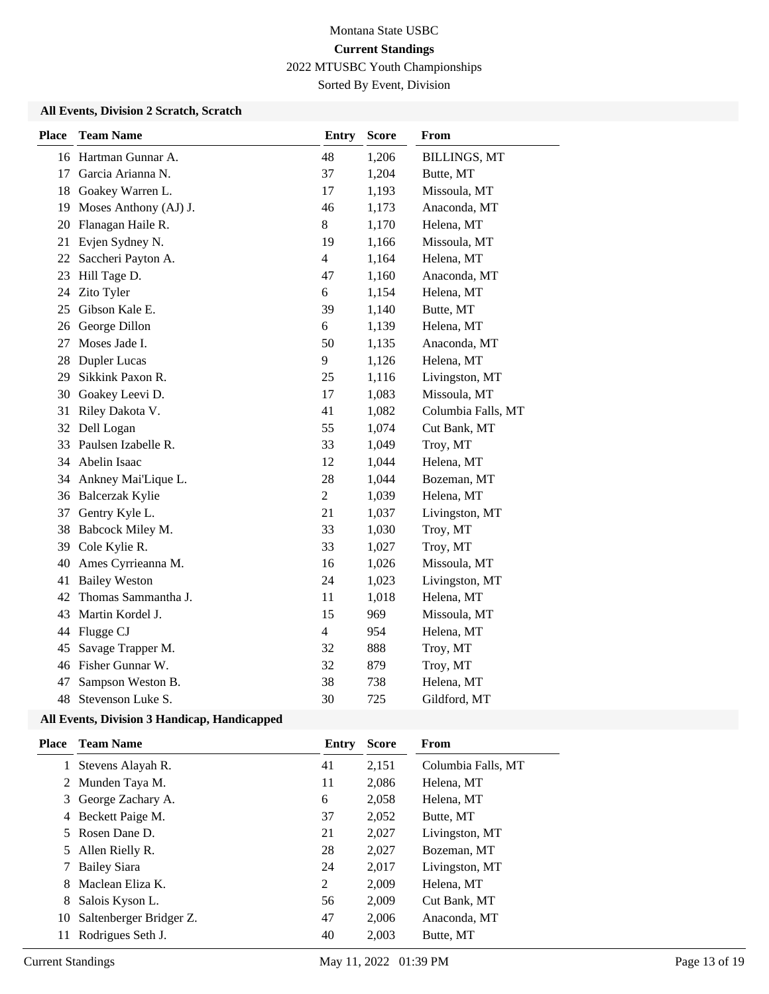Sorted By Event, Division

### **All Events, Division 2 Scratch, Scratch**

| <b>Place</b> | <b>Team Name</b>      | <b>Entry</b>   | <b>Score</b> | From                |
|--------------|-----------------------|----------------|--------------|---------------------|
|              | 16 Hartman Gunnar A.  | 48             | 1,206        | <b>BILLINGS, MT</b> |
| 17           | Garcia Arianna N.     | 37             | 1,204        | Butte, MT           |
| 18           | Goakey Warren L.      | 17             | 1,193        | Missoula, MT        |
| 19           | Moses Anthony (AJ) J. | 46             | 1,173        | Anaconda, MT        |
| 20           | Flanagan Haile R.     | 8              | 1,170        | Helena, MT          |
| 21           | Evjen Sydney N.       | 19             | 1,166        | Missoula, MT        |
| 22           | Saccheri Payton A.    | $\overline{4}$ | 1,164        | Helena, MT          |
| 23           | Hill Tage D.          | 47             | 1,160        | Anaconda, MT        |
| 24           | Zito Tyler            | 6              | 1,154        | Helena, MT          |
| 25           | Gibson Kale E.        | 39             | 1,140        | Butte, MT           |
| 26           | George Dillon         | 6              | 1,139        | Helena, MT          |
| 27           | Moses Jade I.         | 50             | 1,135        | Anaconda, MT        |
| 28           | Dupler Lucas          | 9              | 1,126        | Helena, MT          |
| 29           | Sikkink Paxon R.      | 25             | 1,116        | Livingston, MT      |
| 30           | Goakey Leevi D.       | 17             | 1,083        | Missoula, MT        |
| 31           | Riley Dakota V.       | 41             | 1,082        | Columbia Falls, MT  |
| 32           | Dell Logan            | 55             | 1,074        | Cut Bank, MT        |
| 33           | Paulsen Izabelle R.   | 33             | 1,049        | Troy, MT            |
| 34           | Abelin Isaac          | 12             | 1,044        | Helena, MT          |
| 34           | Ankney Mai'Lique L.   | 28             | 1,044        | Bozeman, MT         |
|              | 36 Balcerzak Kylie    | $\overline{2}$ | 1,039        | Helena, MT          |
| 37           | Gentry Kyle L.        | 21             | 1,037        | Livingston, MT      |
| 38           | Babcock Miley M.      | 33             | 1,030        | Troy, MT            |
| 39           | Cole Kylie R.         | 33             | 1,027        | Troy, MT            |
| 40           | Ames Cyrrieanna M.    | 16             | 1,026        | Missoula, MT        |
| 41           | <b>Bailey Weston</b>  | 24             | 1,023        | Livingston, MT      |
| 42           | Thomas Sammantha J.   | 11             | 1,018        | Helena, MT          |
| 43           | Martin Kordel J.      | 15             | 969          | Missoula, MT        |
| 44           | Flugge CJ             | $\overline{4}$ | 954          | Helena, MT          |
| 45           | Savage Trapper M.     | 32             | 888          | Troy, MT            |
| 46           | Fisher Gunnar W.      | 32             | 879          | Troy, MT            |
| 47           | Sampson Weston B.     | 38             | 738          | Helena, MT          |
| 48           | Stevenson Luke S.     | 30             | 725          | Gildford, MT        |

#### **All Events, Division 3 Handicap, Handicapped**

| Place | <b>Team Name</b>        | Entry | <b>Score</b> | From               |
|-------|-------------------------|-------|--------------|--------------------|
|       | Stevens Alayah R.       | 41    | 2,151        | Columbia Falls, MT |
|       | 2 Munden Taya M.        | 11    | 2,086        | Helena, MT         |
| 3     | George Zachary A.       | 6     | 2,058        | Helena, MT         |
| 4     | Beckett Paige M.        | 37    | 2.052        | Butte, MT          |
| 5     | Rosen Dane D.           | 21    | 2,027        | Livingston, MT     |
| 5     | Allen Rielly R.         | 28    | 2,027        | Bozeman, MT        |
|       | <b>Bailey Siara</b>     | 24    | 2,017        | Livingston, MT     |
| 8     | Maclean Eliza K.        | 2     | 2,009        | Helena, MT         |
| 8     | Salois Kyson L.         | 56    | 2.009        | Cut Bank, MT       |
| 10    | Saltenberger Bridger Z. | 47    | 2.006        | Anaconda, MT       |
| 11    | Rodrigues Seth J.       | 40    | 2,003        | Butte, MT          |
|       |                         |       |              |                    |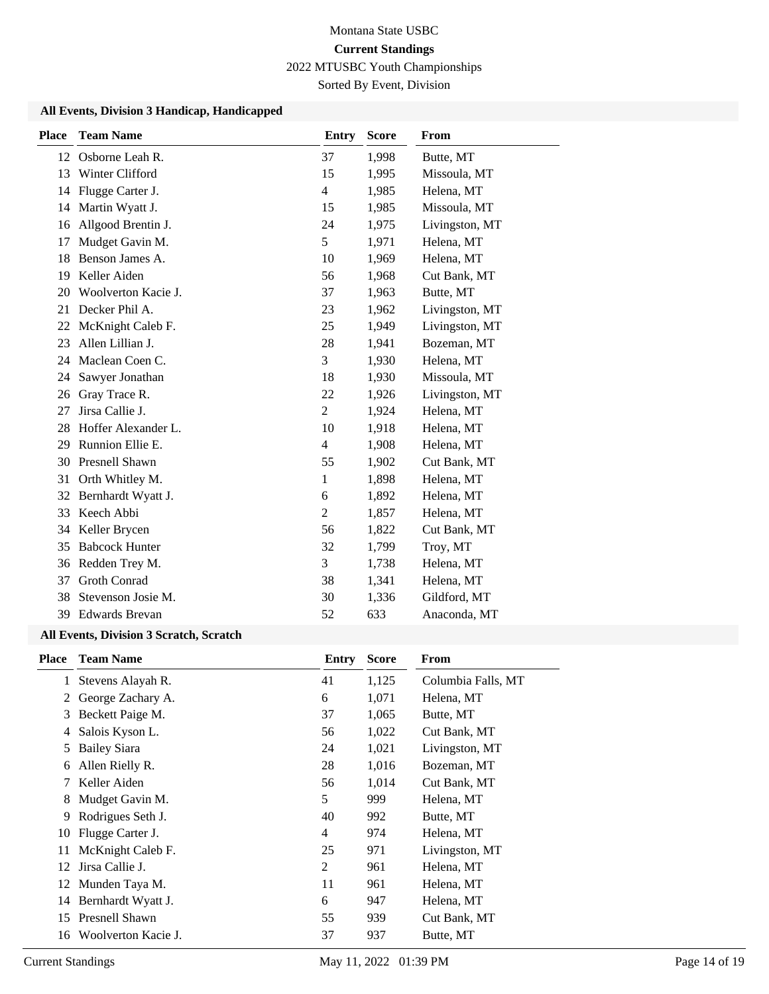Sorted By Event, Division

#### **All Events, Division 3 Handicap, Handicapped**

| <b>Place</b> | <b>Team Name</b>      | <b>Entry</b>   | <b>Score</b> | From           |
|--------------|-----------------------|----------------|--------------|----------------|
| 12           | Osborne Leah R.       | 37             | 1,998        | Butte, MT      |
| 13           | Winter Clifford       | 15             | 1,995        | Missoula, MT   |
| 14           | Flugge Carter J.      | $\overline{4}$ | 1,985        | Helena, MT     |
| 14           | Martin Wyatt J.       | 15             | 1,985        | Missoula, MT   |
| 16           | Allgood Brentin J.    | 24             | 1,975        | Livingston, MT |
| 17           | Mudget Gavin M.       | 5              | 1,971        | Helena, MT     |
| 18           | Benson James A.       | 10             | 1,969        | Helena, MT     |
| 19           | Keller Aiden          | 56             | 1,968        | Cut Bank, MT   |
| 20           | Woolverton Kacie J.   | 37             | 1,963        | Butte, MT      |
| 21           | Decker Phil A.        | 23             | 1,962        | Livingston, MT |
| 22           | McKnight Caleb F.     | 25             | 1,949        | Livingston, MT |
| 23           | Allen Lillian J.      | 28             | 1,941        | Bozeman, MT    |
| 24           | Maclean Coen C.       | 3              | 1,930        | Helena, MT     |
| 24           | Sawyer Jonathan       | 18             | 1,930        | Missoula, MT   |
| 26           | Gray Trace R.         | 22             | 1,926        | Livingston, MT |
| 27           | Jirsa Callie J.       | $\overline{2}$ | 1,924        | Helena, MT     |
| 28           | Hoffer Alexander L.   | 10             | 1,918        | Helena, MT     |
| 29           | Runnion Ellie E.      | $\overline{4}$ | 1,908        | Helena, MT     |
| 30           | Presnell Shawn        | 55             | 1,902        | Cut Bank, MT   |
| 31           | Orth Whitley M.       | 1              | 1,898        | Helena, MT     |
| 32           | Bernhardt Wyatt J.    | 6              | 1,892        | Helena, MT     |
| 33           | Keech Abbi            | $\overline{c}$ | 1,857        | Helena, MT     |
| 34           | Keller Brycen         | 56             | 1,822        | Cut Bank, MT   |
| 35           | <b>Babcock Hunter</b> | 32             | 1,799        | Troy, MT       |
| 36           | Redden Trey M.        | 3              | 1,738        | Helena, MT     |
| 37           | <b>Groth Conrad</b>   | 38             | 1,341        | Helena, MT     |
| 38           | Stevenson Josie M.    | 30             | 1,336        | Gildford, MT   |
| 39           | <b>Edwards Brevan</b> | 52             | 633          | Anaconda, MT   |

### **All Events, Division 3 Scratch, Scratch**

| <b>Place</b> | <b>Team Name</b>      | Entry | <b>Score</b> | From               |
|--------------|-----------------------|-------|--------------|--------------------|
| 1            | Stevens Alayah R.     | 41    | 1,125        | Columbia Falls, MT |
| 2            | George Zachary A.     | 6     | 1,071        | Helena, MT         |
| 3            | Beckett Paige M.      | 37    | 1,065        | Butte, MT          |
| 4            | Salois Kyson L.       | 56    | 1,022        | Cut Bank, MT       |
| 5            | <b>Bailey Siara</b>   | 24    | 1,021        | Livingston, MT     |
| 6            | Allen Rielly R.       | 28    | 1,016        | Bozeman, MT        |
| 7            | Keller Aiden          | 56    | 1,014        | Cut Bank, MT       |
| 8            | Mudget Gavin M.       | 5     | 999          | Helena, MT         |
| 9            | Rodrigues Seth J.     | 40    | 992          | Butte, MT          |
| 10           | Flugge Carter J.      | 4     | 974          | Helena, MT         |
| 11           | McKnight Caleb F.     | 25    | 971          | Livingston, MT     |
| 12           | Jirsa Callie J.       | 2     | 961          | Helena, MT         |
| 12           | Munden Taya M.        | 11    | 961          | Helena, MT         |
| 14           | Bernhardt Wyatt J.    | 6     | 947          | Helena, MT         |
| 15           | <b>Presnell Shawn</b> | 55    | 939          | Cut Bank, MT       |
| 16           | Woolverton Kacie J.   | 37    | 937          | Butte, MT          |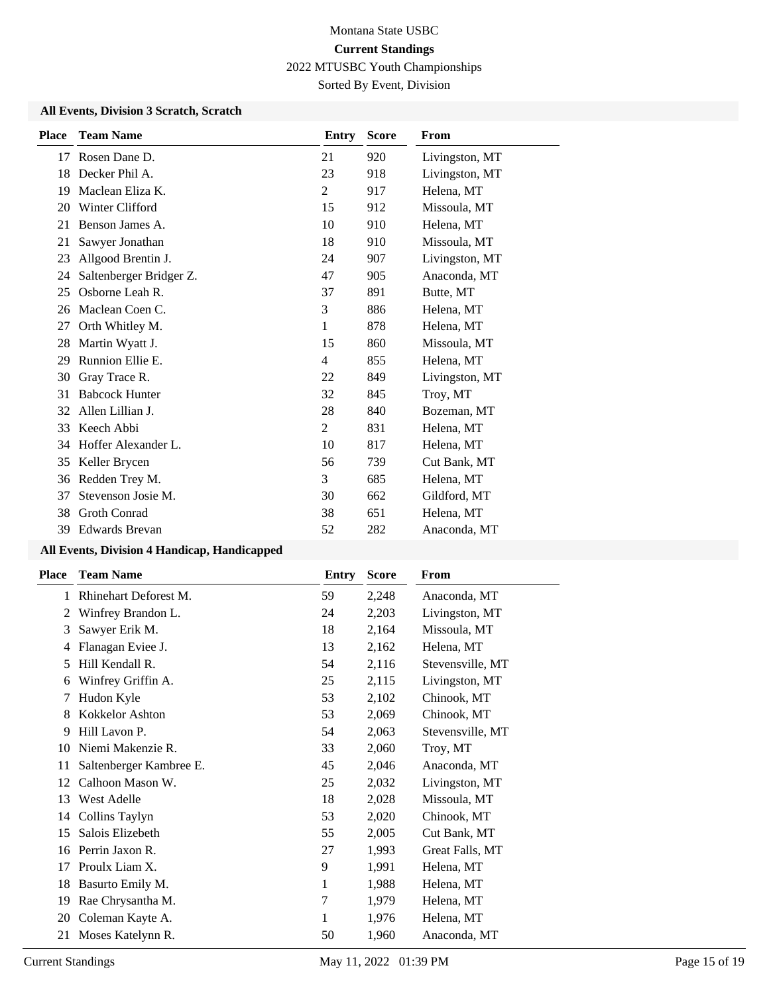Sorted By Event, Division

### **All Events, Division 3 Scratch, Scratch**

| <b>Place</b> | <b>Team Name</b>        | Entry          | <b>Score</b> | From           |
|--------------|-------------------------|----------------|--------------|----------------|
| 17           | Rosen Dane D.           | 21             | 920          | Livingston, MT |
| 18           | Decker Phil A.          | 23             | 918          | Livingston, MT |
| 19           | Maclean Eliza K.        | $\overline{2}$ | 917          | Helena, MT     |
| 20           | Winter Clifford         | 15             | 912          | Missoula, MT   |
| 21           | Benson James A.         | 10             | 910          | Helena, MT     |
| 21           | Sawyer Jonathan         | 18             | 910          | Missoula, MT   |
| 23           | Allgood Brentin J.      | 24             | 907          | Livingston, MT |
| 24           | Saltenberger Bridger Z. | 47             | 905          | Anaconda, MT   |
| 25           | Osborne Leah R.         | 37             | 891          | Butte, MT      |
| 26           | Maclean Coen C.         | 3              | 886          | Helena, MT     |
| 27           | Orth Whitley M.         | 1              | 878          | Helena, MT     |
| 28           | Martin Wyatt J.         | 15             | 860          | Missoula, MT   |
| 29           | Runnion Ellie E.        | $\overline{4}$ | 855          | Helena, MT     |
| 30           | Gray Trace R.           | 22             | 849          | Livingston, MT |
| 31           | <b>Babcock Hunter</b>   | 32             | 845          | Troy, MT       |
| 32           | Allen Lillian J.        | 28             | 840          | Bozeman, MT    |
| 33           | Keech Abbi              | $\overline{2}$ | 831          | Helena, MT     |
| 34           | Hoffer Alexander L.     | 10             | 817          | Helena, MT     |
| 35           | Keller Brycen           | 56             | 739          | Cut Bank, MT   |
| 36           | Redden Trey M.          | 3              | 685          | Helena, MT     |
| 37           | Stevenson Josie M.      | 30             | 662          | Gildford, MT   |
| 38           | <b>Groth Conrad</b>     | 38             | 651          | Helena, MT     |
| 39           | <b>Edwards Brevan</b>   | 52             | 282          | Anaconda, MT   |
|              |                         |                |              |                |

### **All Events, Division 4 Handicap, Handicapped**

| <b>Team Name</b>        | <b>Entry</b> | <b>Score</b> | From             |
|-------------------------|--------------|--------------|------------------|
| Rhinehart Deforest M.   | 59           | 2,248        | Anaconda, MT     |
| Winfrey Brandon L.      | 24           | 2,203        | Livingston, MT   |
| Sawyer Erik M.          | 18           | 2,164        | Missoula, MT     |
| Flanagan Eviee J.       | 13           | 2,162        | Helena, MT       |
| Hill Kendall R.         | 54           | 2,116        | Stevensville, MT |
| Winfrey Griffin A.      | 25           | 2,115        | Livingston, MT   |
| Hudon Kyle              | 53           | 2,102        | Chinook, MT      |
| Kokkelor Ashton         | 53           | 2,069        | Chinook, MT      |
| Hill Lavon P.           | 54           | 2,063        | Stevensville, MT |
| Niemi Makenzie R.       | 33           | 2,060        | Troy, MT         |
| Saltenberger Kambree E. | 45           | 2,046        | Anaconda, MT     |
| Calhoon Mason W.        | 25           | 2,032        | Livingston, MT   |
| <b>West Adelle</b>      | 18           | 2,028        | Missoula, MT     |
| Collins Taylyn          | 53           | 2,020        | Chinook, MT      |
| Salois Elizebeth        | 55           | 2,005        | Cut Bank, MT     |
| Perrin Jaxon R.         | 27           | 1,993        | Great Falls, MT  |
| Proulx Liam X.          | 9            | 1,991        | Helena, MT       |
| Basurto Emily M.        | 1            | 1,988        | Helena, MT       |
| Rae Chrysantha M.       | 7            | 1,979        | Helena, MT       |
| Coleman Kayte A.        | 1            | 1,976        | Helena, MT       |
| Moses Katelynn R.       | 50           | 1,960        | Anaconda, MT     |
|                         |              |              |                  |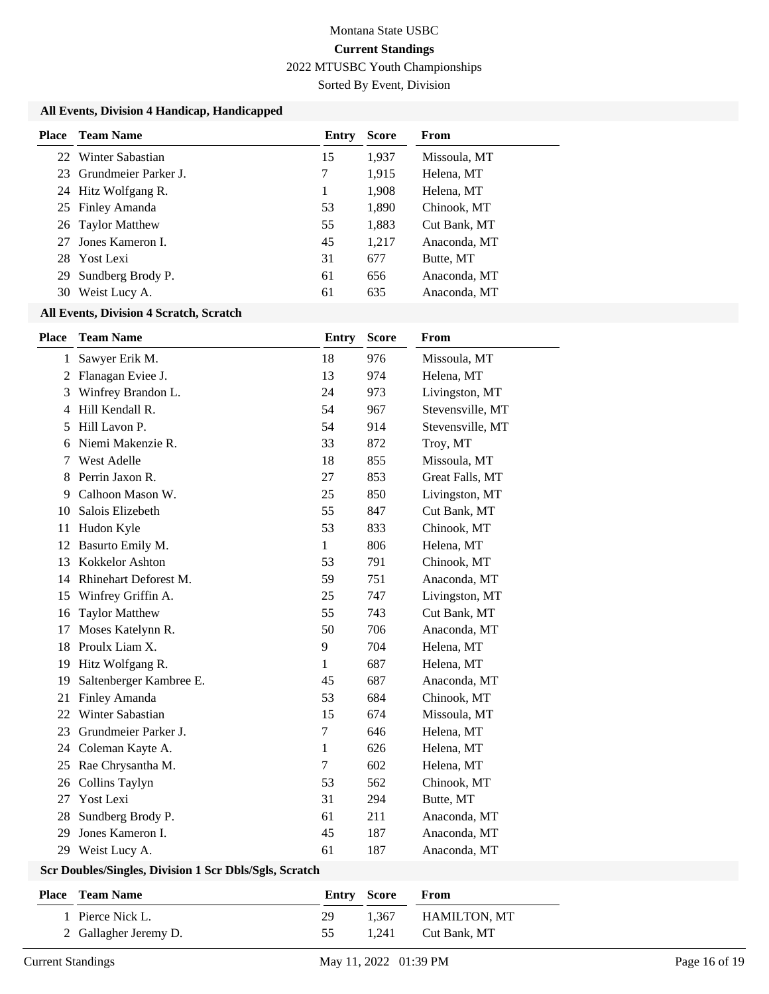Sorted By Event, Division

### **All Events, Division 4 Handicap, Handicapped**

| Place | Team Name               | Entry | <b>Score</b> | From         |
|-------|-------------------------|-------|--------------|--------------|
|       | 22 Winter Sabastian     | 15    | 1,937        | Missoula, MT |
|       | 23 Grundmeier Parker J. | 7     | 1,915        | Helena, MT   |
|       | 24 Hitz Wolfgang R.     | 1     | 1,908        | Helena, MT   |
|       | 25 Finley Amanda        | 53    | 1,890        | Chinook, MT  |
|       | 26 Taylor Matthew       | 55    | 1,883        | Cut Bank, MT |
|       | 27 Jones Kameron I.     | 45    | 1,217        | Anaconda, MT |
|       | 28 Yost Lexi            | 31    | 677          | Butte, MT    |
| 29    | Sundberg Brody P.       | 61    | 656          | Anaconda, MT |
| 30    | Weist Lucy A.           | 61    | 635          | Anaconda, MT |
|       |                         |       |              |              |

#### **All Events, Division 4 Scratch, Scratch**

| <b>Place</b>   | <b>Team Name</b>        | <b>Entry</b> | <b>Score</b> | From             |
|----------------|-------------------------|--------------|--------------|------------------|
| $\mathbf{1}$   | Sawyer Erik M.          | 18           | 976          | Missoula, MT     |
| 2              | Flanagan Eviee J.       | 13           | 974          | Helena, MT       |
| 3              | Winfrey Brandon L.      | 24           | 973          | Livingston, MT   |
| $\overline{4}$ | Hill Kendall R.         | 54           | 967          | Stevensville, MT |
| 5              | Hill Lavon P.           | 54           | 914          | Stevensville, MT |
| 6              | Niemi Makenzie R.       | 33           | 872          | Troy, MT         |
| 7              | West Adelle             | 18           | 855          | Missoula, MT     |
| 8              | Perrin Jaxon R.         | 27           | 853          | Great Falls, MT  |
| 9              | Calhoon Mason W.        | 25           | 850          | Livingston, MT   |
| 10             | Salois Elizebeth        | 55           | 847          | Cut Bank, MT     |
| 11             | Hudon Kyle              | 53           | 833          | Chinook, MT      |
| 12             | Basurto Emily M.        | 1            | 806          | Helena, MT       |
| 13             | Kokkelor Ashton         | 53           | 791          | Chinook, MT      |
| 14             | Rhinehart Deforest M.   | 59           | 751          | Anaconda, MT     |
| 15             | Winfrey Griffin A.      | 25           | 747          | Livingston, MT   |
| 16             | <b>Taylor Matthew</b>   | 55           | 743          | Cut Bank, MT     |
| 17             | Moses Katelynn R.       | 50           | 706          | Anaconda, MT     |
| 18             | Proulx Liam X.          | 9            | 704          | Helena, MT       |
| 19             | Hitz Wolfgang R.        | 1            | 687          | Helena, MT       |
| 19             | Saltenberger Kambree E. | 45           | 687          | Anaconda, MT     |
| 21             | Finley Amanda           | 53           | 684          | Chinook, MT      |
| 22             | Winter Sabastian        | 15           | 674          | Missoula, MT     |
| 23             | Grundmeier Parker J.    | $\tau$       | 646          | Helena, MT       |
| 24             | Coleman Kayte A.        | 1            | 626          | Helena, MT       |
| 25             | Rae Chrysantha M.       | 7            | 602          | Helena, MT       |
| 26             | Collins Taylyn          | 53           | 562          | Chinook, MT      |
| 27             | Yost Lexi               | 31           | 294          | Butte, MT        |
| 28             | Sundberg Brody P.       | 61           | 211          | Anaconda, MT     |
| 29             | Jones Kameron I.        | 45           | 187          | Anaconda, MT     |
|                | 29 Weist Lucy A.        | 61           | 187          | Anaconda, MT     |

### **Scr Doubles/Singles, Division 1 Scr Dbls/Sgls, Scratch**

| <b>Place</b> Team Name | <b>Entry Score</b> |       | <b>From</b>  |
|------------------------|--------------------|-------|--------------|
| 1 Pierce Nick L.       | 29                 | 1.367 | HAMILTON. MT |
| 2 Gallagher Jeremy D.  | 55.                | 1.241 | Cut Bank, MT |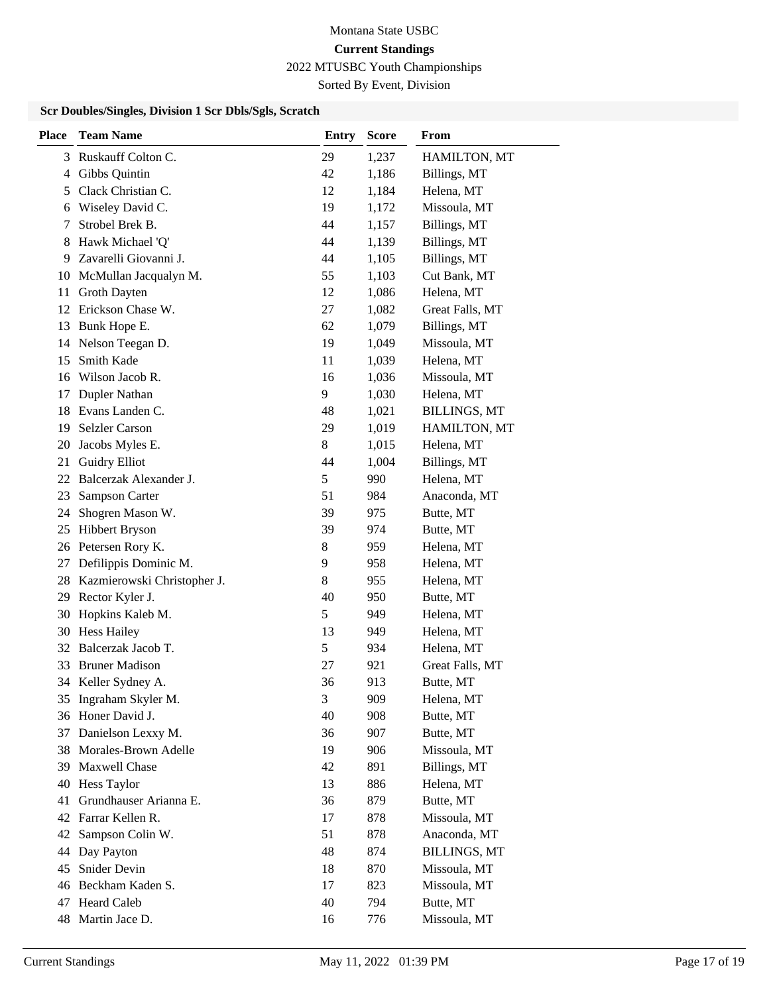# Montana State USBC **Current Standings**

2022 MTUSBC Youth Championships

Sorted By Event, Division

### **Scr Doubles/Singles, Division 1 Scr Dbls/Sgls, Scratch**

| <b>Place</b> | <b>Team Name</b>            | <b>Entry</b> | <b>Score</b> | From                |
|--------------|-----------------------------|--------------|--------------|---------------------|
| 3            | Ruskauff Colton C.          | 29           | 1,237        | HAMILTON, MT        |
| 4            | Gibbs Quintin               | 42           | 1,186        | Billings, MT        |
| 5            | Clack Christian C.          | 12           | 1,184        | Helena, MT          |
| 6            | Wiseley David C.            | 19           | 1,172        | Missoula, MT        |
| 7            | Strobel Brek B.             | 44           | 1,157        | Billings, MT        |
| 8            | Hawk Michael 'Q'            | 44           | 1,139        | Billings, MT        |
| 9            | Zavarelli Giovanni J.       | 44           | 1,105        | Billings, MT        |
| 10           | McMullan Jacqualyn M.       | 55           | 1,103        | Cut Bank, MT        |
| 11           | Groth Dayten                | 12           | 1,086        | Helena, MT          |
|              | 12 Erickson Chase W.        | 27           | 1,082        | Great Falls, MT     |
| 13           | Bunk Hope E.                | 62           | 1,079        | Billings, MT        |
| 14           | Nelson Teegan D.            | 19           | 1,049        | Missoula, MT        |
| 15           | Smith Kade                  | 11           | 1,039        | Helena, MT          |
| 16           | Wilson Jacob R.             | 16           | 1,036        | Missoula, MT        |
| 17           | Dupler Nathan               | 9            | 1,030        | Helena, MT          |
| 18           | Evans Landen C.             | 48           | 1,021        | <b>BILLINGS, MT</b> |
| 19           | <b>Selzler Carson</b>       | 29           | 1,019        | HAMILTON, MT        |
| 20           | Jacobs Myles E.             | 8            | 1,015        | Helena, MT          |
| 21           | <b>Guidry Elliot</b>        | 44           | 1,004        | Billings, MT        |
| 22           | Balcerzak Alexander J.      | 5            | 990          | Helena, MT          |
| 23           | Sampson Carter              | 51           | 984          | Anaconda, MT        |
| 24           | Shogren Mason W.            | 39           | 975          | Butte, MT           |
| 25           | <b>Hibbert Bryson</b>       | 39           | 974          | Butte, MT           |
| 26           | Petersen Rory K.            | 8            | 959          | Helena, MT          |
| 27           | Defilippis Dominic M.       | 9            | 958          | Helena, MT          |
| 28           | Kazmierowski Christopher J. | 8            | 955          | Helena, MT          |
| 29           | Rector Kyler J.             | 40           | 950          | Butte, MT           |
| 30           | Hopkins Kaleb M.            | 5            | 949          | Helena, MT          |
| 30           | <b>Hess Hailey</b>          | 13           | 949          | Helena, MT          |
|              | 32 Balcerzak Jacob T.       | 5            | 934          | Helena, MT          |
| 33           | <b>Bruner Madison</b>       | 27           | 921          | Great Falls, MT     |
|              | 34 Keller Sydney A.         | 36           | 913          | Butte, MT           |
| 35           | Ingraham Skyler M.          | 3            | 909          | Helena, MT          |
| 36           | Honer David J.              | 40           | 908          | Butte, MT           |
| 37           | Danielson Lexxy M.          | 36           | 907          | Butte, MT           |
| 38           | Morales-Brown Adelle        | 19           | 906          | Missoula, MT        |
| 39           | Maxwell Chase               | 42           | 891          | Billings, MT        |
| 40           | Hess Taylor                 | 13           | 886          | Helena, MT          |
| 41           | Grundhauser Arianna E.      | 36           | 879          | Butte, MT           |
| 42           | Farrar Kellen R.            | 17           | 878          | Missoula, MT        |
| 42           | Sampson Colin W.            | 51           | 878          | Anaconda, MT        |
| 44           | Day Payton                  | 48           | 874          | <b>BILLINGS, MT</b> |
| 45           | Snider Devin                | 18           | 870          | Missoula, MT        |
| 46           | Beckham Kaden S.            | 17           | 823          | Missoula, MT        |
| 47           | Heard Caleb                 | 40           | 794          | Butte, MT           |
| 48           | Martin Jace D.              | 16           | 776          | Missoula, MT        |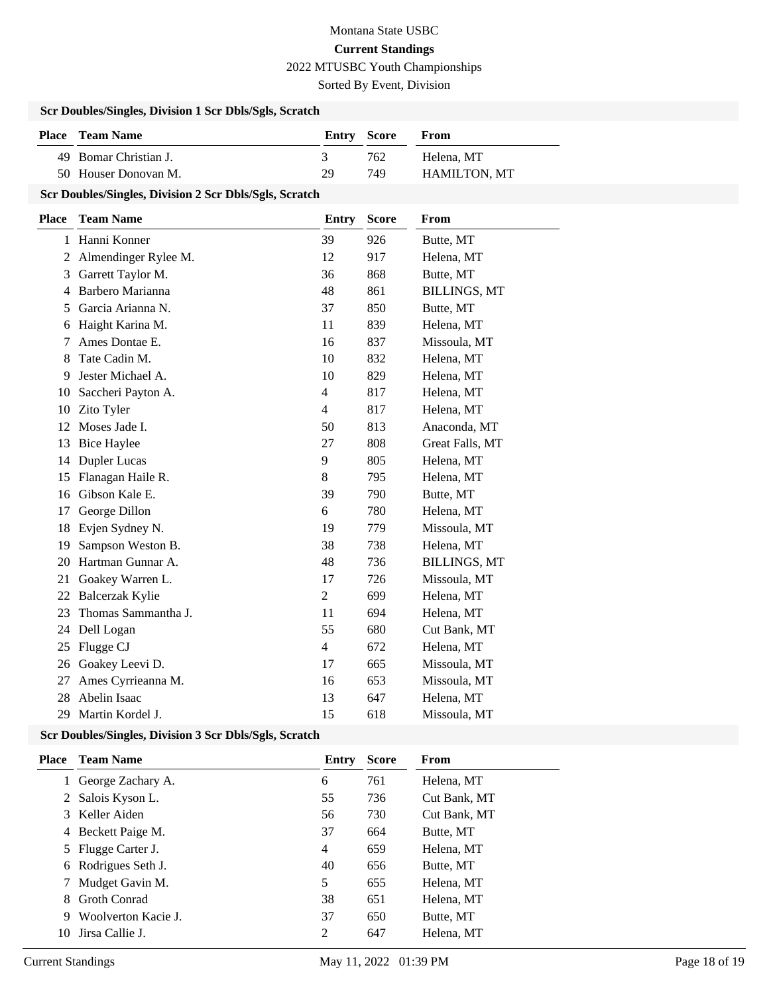Sorted By Event, Division

### **Scr Doubles/Singles, Division 1 Scr Dbls/Sgls, Scratch**

| <b>Place</b> Team Name | Entry Score |     | <b>From</b>         |
|------------------------|-------------|-----|---------------------|
| 49 Bomar Christian J.  |             | 762 | Helena, MT          |
| 50 Houser Donovan M.   | 29          | 749 | <b>HAMILTON, MT</b> |

#### **Scr Doubles/Singles, Division 2 Scr Dbls/Sgls, Scratch**

| <b>Place</b> | <b>Team Name</b>     | <b>Entry</b>   | <b>Score</b> | From                |
|--------------|----------------------|----------------|--------------|---------------------|
| 1            | Hanni Konner         | 39             | 926          | Butte, MT           |
| 2            | Almendinger Rylee M. | 12             | 917          | Helena, MT          |
| 3            | Garrett Taylor M.    | 36             | 868          | Butte, MT           |
| 4            | Barbero Marianna     | 48             | 861          | <b>BILLINGS, MT</b> |
| 5            | Garcia Arianna N.    | 37             | 850          | Butte, MT           |
| 6            | Haight Karina M.     | 11             | 839          | Helena, MT          |
| 7            | Ames Dontae E.       | 16             | 837          | Missoula, MT        |
| 8            | Tate Cadin M.        | 10             | 832          | Helena, MT          |
| 9            | Jester Michael A.    | 10             | 829          | Helena, MT          |
| 10           | Saccheri Payton A.   | $\overline{4}$ | 817          | Helena, MT          |
| 10           | Zito Tyler           | $\overline{4}$ | 817          | Helena, MT          |
| 12           | Moses Jade I.        | 50             | 813          | Anaconda, MT        |
| 13           | <b>Bice Haylee</b>   | 27             | 808          | Great Falls, MT     |
| 14           | Dupler Lucas         | 9              | 805          | Helena, MT          |
| 15           | Flanagan Haile R.    | 8              | 795          | Helena, MT          |
| 16           | Gibson Kale E.       | 39             | 790          | Butte, MT           |
| 17           | George Dillon        | 6              | 780          | Helena, MT          |
| 18           | Evjen Sydney N.      | 19             | 779          | Missoula, MT        |
| 19           | Sampson Weston B.    | 38             | 738          | Helena, MT          |
| 20           | Hartman Gunnar A.    | 48             | 736          | <b>BILLINGS, MT</b> |
| 21           | Goakey Warren L.     | 17             | 726          | Missoula, MT        |
| 22           | Balcerzak Kylie      | $\overline{2}$ | 699          | Helena, MT          |
| 23           | Thomas Sammantha J.  | 11             | 694          | Helena, MT          |
| 24           | Dell Logan           | 55             | 680          | Cut Bank, MT        |
| 25           | Flugge CJ            | $\overline{4}$ | 672          | Helena, MT          |
| 26           | Goakey Leevi D.      | 17             | 665          | Missoula, MT        |
| 27           | Ames Cyrrieanna M.   | 16             | 653          | Missoula, MT        |
| 28           | Abelin Isaac         | 13             | 647          | Helena, MT          |
| 29           | Martin Kordel J.     | 15             | 618          | Missoula, MT        |

#### **Scr Doubles/Singles, Division 3 Scr Dbls/Sgls, Scratch**

|    | Place Team Name     | Entry          | <b>Score</b> | From         |
|----|---------------------|----------------|--------------|--------------|
|    | 1 George Zachary A. | 6              | 761          | Helena, MT   |
|    | 2 Salois Kyson L.   | 55             | 736          | Cut Bank, MT |
|    | 3 Keller Aiden      | 56             | 730          | Cut Bank, MT |
|    | 4 Beckett Paige M.  | 37             | 664          | Butte, MT    |
|    | 5 Flugge Carter J.  | $\overline{4}$ | 659          | Helena, MT   |
|    | 6 Rodrigues Seth J. | 40             | 656          | Butte, MT    |
|    | 7 Mudget Gavin M.   | 5              | 655          | Helena, MT   |
| 8  | <b>Groth Conrad</b> | 38             | 651          | Helena, MT   |
| 9  | Woolverton Kacie J. | 37             | 650          | Butte, MT    |
| 10 | Jirsa Callie J.     | 2              | 647          | Helena, MT   |
|    |                     |                |              |              |